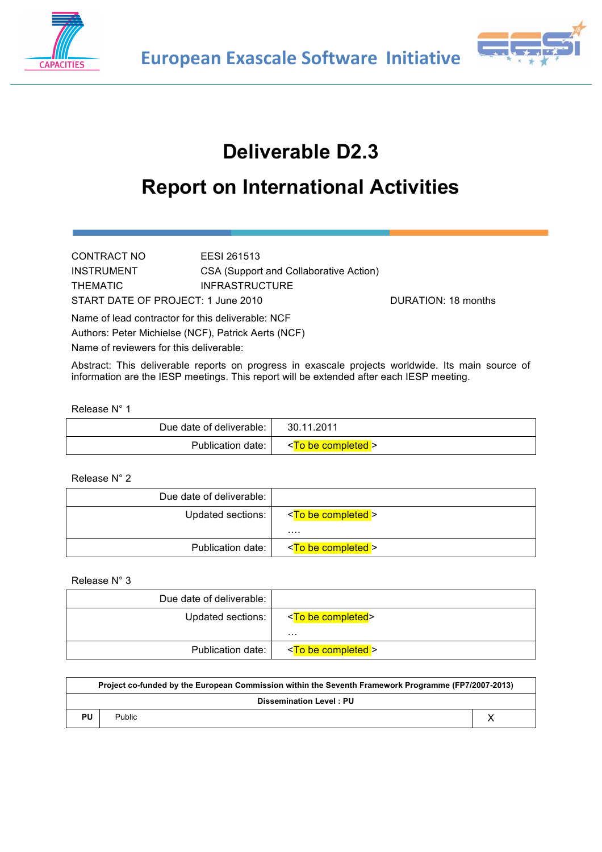



# **Deliverable D2.3**

# **Report on International Activities**

CONTRACT NO EESI 261513 INSTRUMENT CSA (Support and Collaborative Action) THEMATIC **INFRASTRUCTURE** START DATE OF PROJECT: 1 June 2010 DURATION: 18 months Name of lead contractor for this deliverable: NCF Authors: Peter Michielse (NCF), Patrick Aerts (NCF)

Name of reviewers for this deliverable:

Abstract: This deliverable reports on progress in exascale projects worldwide. Its main source of information are the IESP meetings. This report will be extended after each IESP meeting.

#### Release N° 1

| Due date of deliverable: | 30.11.2011                   |
|--------------------------|------------------------------|
| Publication date:        | <to be="" completed=""></to> |

#### Release N° 2

| Due date of deliverable: |                              |
|--------------------------|------------------------------|
| Updated sections:        | <to be="" completed=""></to> |
|                          | .                            |
| Publication date:        | <to be="" completed=""></to> |

#### Release N° 3

| Due date of deliverable: |                              |
|--------------------------|------------------------------|
| Updated sections:        | <to be="" completed=""></to> |
|                          | .                            |
| Publication date:        | <to be="" completed=""></to> |

| Project co-funded by the European Commission within the Seventh Framework Programme (FP7/2007-2013) |                                |  |  |  |  |
|-----------------------------------------------------------------------------------------------------|--------------------------------|--|--|--|--|
|                                                                                                     | <b>Dissemination Level: PU</b> |  |  |  |  |
| PU                                                                                                  | <b>Public</b>                  |  |  |  |  |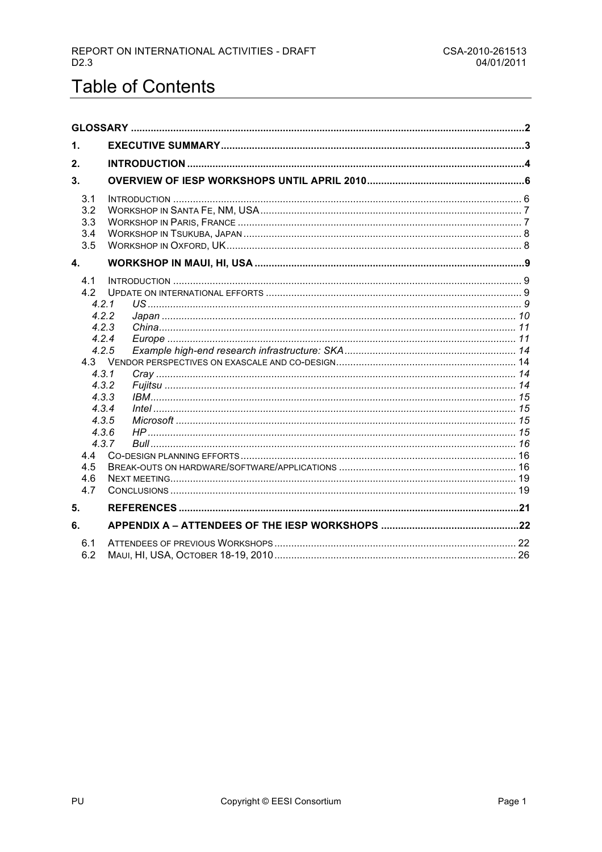# **Table of Contents**

| 1.                                                                                                                      |                         |  |
|-------------------------------------------------------------------------------------------------------------------------|-------------------------|--|
| 2.                                                                                                                      |                         |  |
| 3 <sub>1</sub>                                                                                                          |                         |  |
| 3.1<br>3.2<br>3.3<br>3.4<br>3.5                                                                                         |                         |  |
| 4.                                                                                                                      |                         |  |
| 4.1<br>4.2<br>4.2.1<br>4.2.2<br>4.2.5<br>4.3.1<br>4.3.2<br>4.3.3<br>4.3.4<br>4.3.5<br>4.3.6<br>4.4<br>4.5<br>4.6<br>4.7 | 4.2.3<br>4.2.4<br>4.3.7 |  |
| 5.                                                                                                                      |                         |  |
| 6.                                                                                                                      |                         |  |
| 6.1<br>6.2                                                                                                              |                         |  |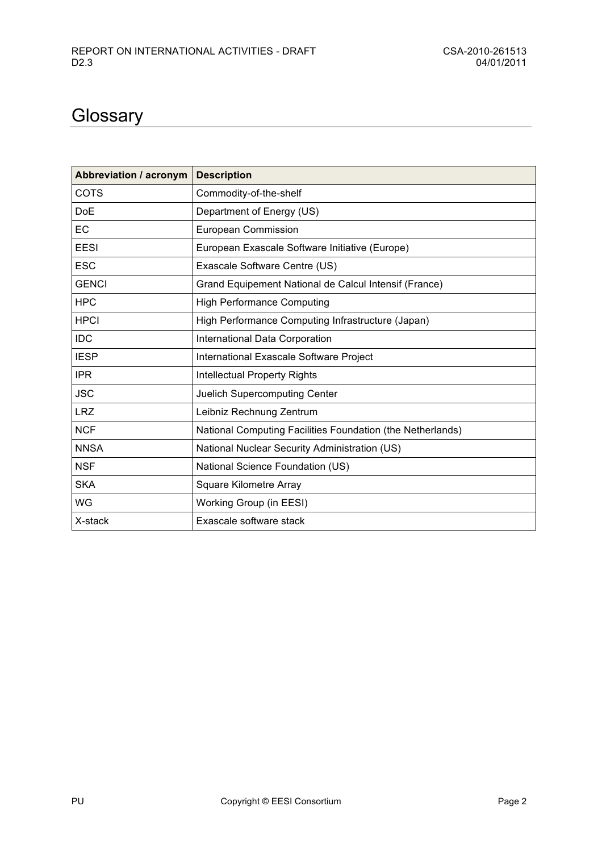# **Glossary**

| <b>Abbreviation / acronym</b> | <b>Description</b>                                         |
|-------------------------------|------------------------------------------------------------|
| COTS                          | Commodity-of-the-shelf                                     |
| DoE                           | Department of Energy (US)                                  |
| ЕC                            | European Commission                                        |
| EESI                          | European Exascale Software Initiative (Europe)             |
| <b>ESC</b>                    | Exascale Software Centre (US)                              |
| <b>GENCI</b>                  | Grand Equipement National de Calcul Intensif (France)      |
| <b>HPC</b>                    | <b>High Performance Computing</b>                          |
| <b>HPCI</b>                   | High Performance Computing Infrastructure (Japan)          |
| <b>IDC</b>                    | International Data Corporation                             |
| <b>IESP</b>                   | International Exascale Software Project                    |
| <b>IPR</b>                    | <b>Intellectual Property Rights</b>                        |
| <b>JSC</b>                    | Juelich Supercomputing Center                              |
| <b>LRZ</b>                    | Leibniz Rechnung Zentrum                                   |
| <b>NCF</b>                    | National Computing Facilities Foundation (the Netherlands) |
| <b>NNSA</b>                   | National Nuclear Security Administration (US)              |
| <b>NSF</b>                    | National Science Foundation (US)                           |
| <b>SKA</b>                    | Square Kilometre Array                                     |
| WG                            | Working Group (in EESI)                                    |
| X-stack                       | Exascale software stack                                    |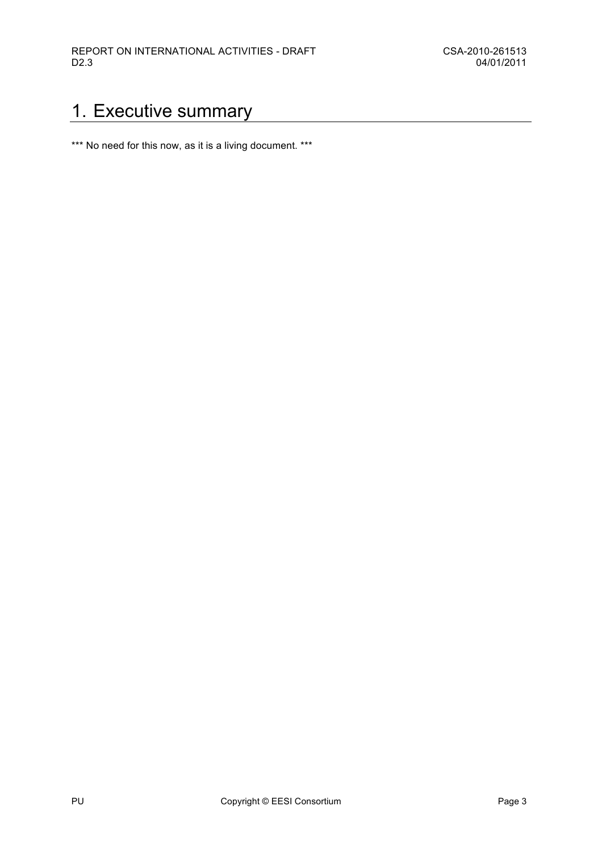# 1. Executive summary

\*\*\* No need for this now, as it is a living document. \*\*\*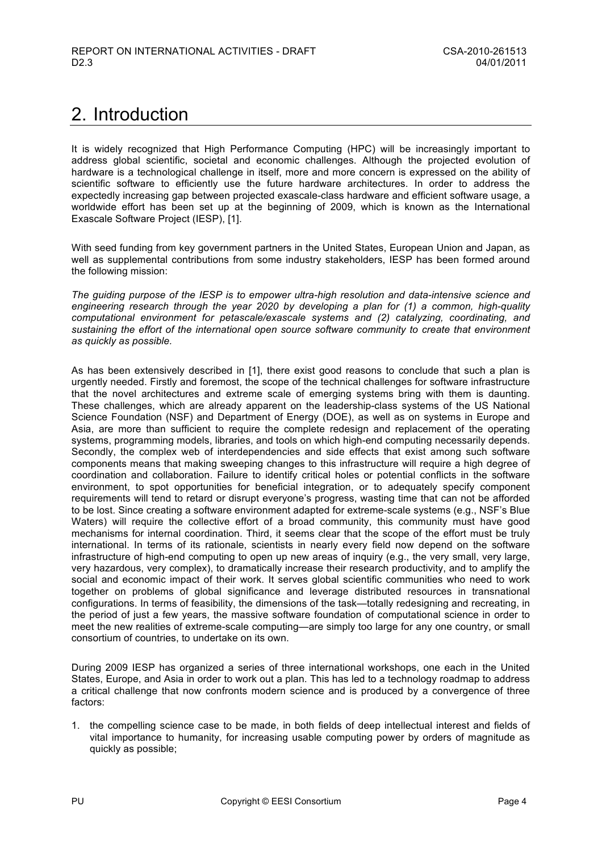# 2. Introduction

It is widely recognized that High Performance Computing (HPC) will be increasingly important to address global scientific, societal and economic challenges. Although the projected evolution of hardware is a technological challenge in itself, more and more concern is expressed on the ability of scientific software to efficiently use the future hardware architectures. In order to address the expectedly increasing gap between projected exascale-class hardware and efficient software usage, a worldwide effort has been set up at the beginning of 2009, which is known as the International Exascale Software Project (IESP), [1].

With seed funding from key government partners in the United States, European Union and Japan, as well as supplemental contributions from some industry stakeholders, IESP has been formed around the following mission:

*The guiding purpose of the IESP is to empower ultra-high resolution and data-intensive science and engineering research through the year 2020 by developing a plan for (1) a common, high-quality computational environment for petascale/exascale systems and (2) catalyzing, coordinating, and sustaining the effort of the international open source software community to create that environment as quickly as possible.*

As has been extensively described in [1], there exist good reasons to conclude that such a plan is urgently needed. Firstly and foremost, the scope of the technical challenges for software infrastructure that the novel architectures and extreme scale of emerging systems bring with them is daunting. These challenges, which are already apparent on the leadership-class systems of the US National Science Foundation (NSF) and Department of Energy (DOE), as well as on systems in Europe and Asia, are more than sufficient to require the complete redesign and replacement of the operating systems, programming models, libraries, and tools on which high-end computing necessarily depends. Secondly, the complex web of interdependencies and side effects that exist among such software components means that making sweeping changes to this infrastructure will require a high degree of coordination and collaboration. Failure to identify critical holes or potential conflicts in the software environment, to spot opportunities for beneficial integration, or to adequately specify component requirements will tend to retard or disrupt everyone's progress, wasting time that can not be afforded to be lost. Since creating a software environment adapted for extreme-scale systems (e.g., NSF's Blue Waters) will require the collective effort of a broad community, this community must have good mechanisms for internal coordination. Third, it seems clear that the scope of the effort must be truly international. In terms of its rationale, scientists in nearly every field now depend on the software infrastructure of high-end computing to open up new areas of inquiry (e.g., the very small, very large, very hazardous, very complex), to dramatically increase their research productivity, and to amplify the social and economic impact of their work. It serves global scientific communities who need to work together on problems of global significance and leverage distributed resources in transnational configurations. In terms of feasibility, the dimensions of the task—totally redesigning and recreating, in the period of just a few years, the massive software foundation of computational science in order to meet the new realities of extreme-scale computing—are simply too large for any one country, or small consortium of countries, to undertake on its own.

During 2009 IESP has organized a series of three international workshops, one each in the United States, Europe, and Asia in order to work out a plan. This has led to a technology roadmap to address a critical challenge that now confronts modern science and is produced by a convergence of three factors:

1. the compelling science case to be made, in both fields of deep intellectual interest and fields of vital importance to humanity, for increasing usable computing power by orders of magnitude as quickly as possible;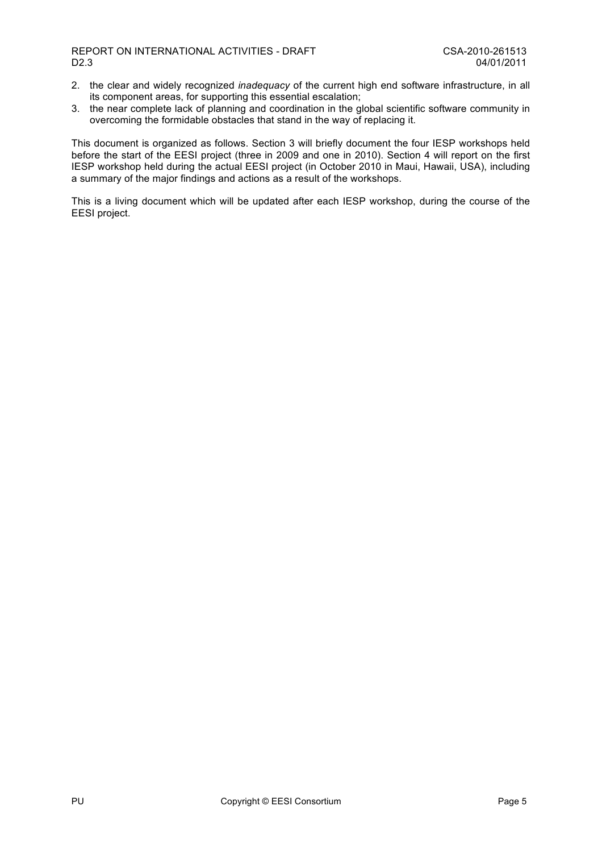- 2. the clear and widely recognized *inadequacy* of the current high end software infrastructure, in all its component areas, for supporting this essential escalation;
- 3. the near complete lack of planning and coordination in the global scientific software community in overcoming the formidable obstacles that stand in the way of replacing it.

This document is organized as follows. Section 3 will briefly document the four IESP workshops held before the start of the EESI project (three in 2009 and one in 2010). Section 4 will report on the first IESP workshop held during the actual EESI project (in October 2010 in Maui, Hawaii, USA), including a summary of the major findings and actions as a result of the workshops.

This is a living document which will be updated after each IESP workshop, during the course of the EESI project.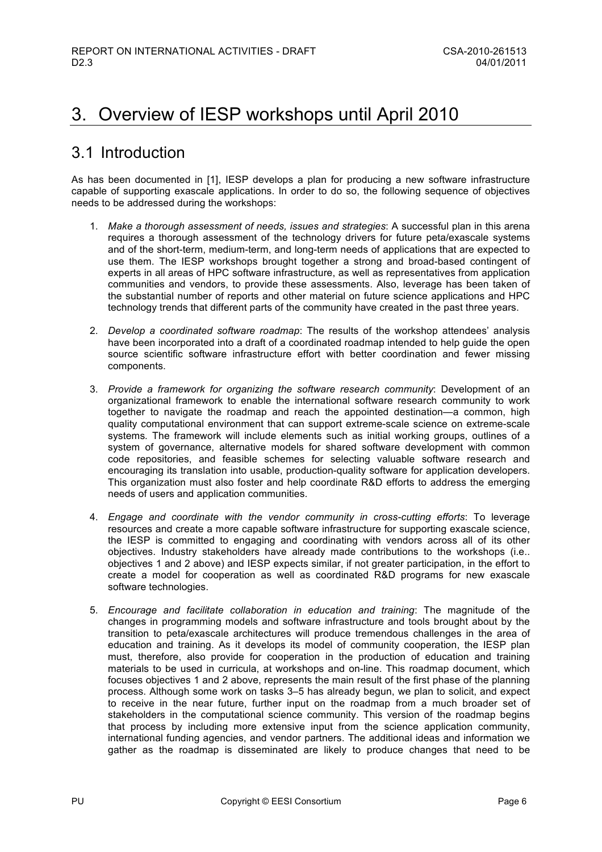# 3. Overview of IESP workshops until April 2010

## 3.1 Introduction

As has been documented in [1], IESP develops a plan for producing a new software infrastructure capable of supporting exascale applications. In order to do so, the following sequence of objectives needs to be addressed during the workshops:

- 1. *Make a thorough assessment of needs, issues and strategies*: A successful plan in this arena requires a thorough assessment of the technology drivers for future peta/exascale systems and of the short-term, medium-term, and long-term needs of applications that are expected to use them. The IESP workshops brought together a strong and broad-based contingent of experts in all areas of HPC software infrastructure, as well as representatives from application communities and vendors, to provide these assessments. Also, leverage has been taken of the substantial number of reports and other material on future science applications and HPC technology trends that different parts of the community have created in the past three years.
- 2. *Develop a coordinated software roadmap*: The results of the workshop attendees' analysis have been incorporated into a draft of a coordinated roadmap intended to help guide the open source scientific software infrastructure effort with better coordination and fewer missing components.
- 3. *Provide a framework for organizing the software research community*: Development of an organizational framework to enable the international software research community to work together to navigate the roadmap and reach the appointed destination—a common, high quality computational environment that can support extreme-scale science on extreme-scale systems*.* The framework will include elements such as initial working groups, outlines of a system of governance, alternative models for shared software development with common code repositories, and feasible schemes for selecting valuable software research and encouraging its translation into usable, production-quality software for application developers. This organization must also foster and help coordinate R&D efforts to address the emerging needs of users and application communities.
- 4. *Engage and coordinate with the vendor community in cross-cutting efforts*: To leverage resources and create a more capable software infrastructure for supporting exascale science, the IESP is committed to engaging and coordinating with vendors across all of its other objectives. Industry stakeholders have already made contributions to the workshops (i.e.. objectives 1 and 2 above) and IESP expects similar, if not greater participation, in the effort to create a model for cooperation as well as coordinated R&D programs for new exascale software technologies.
- 5. *Encourage and facilitate collaboration in education and training*: The magnitude of the changes in programming models and software infrastructure and tools brought about by the transition to peta/exascale architectures will produce tremendous challenges in the area of education and training. As it develops its model of community cooperation, the IESP plan must, therefore, also provide for cooperation in the production of education and training materials to be used in curricula, at workshops and on-line. This roadmap document, which focuses objectives 1 and 2 above, represents the main result of the first phase of the planning process. Although some work on tasks 3–5 has already begun, we plan to solicit, and expect to receive in the near future, further input on the roadmap from a much broader set of stakeholders in the computational science community. This version of the roadmap begins that process by including more extensive input from the science application community, international funding agencies, and vendor partners. The additional ideas and information we gather as the roadmap is disseminated are likely to produce changes that need to be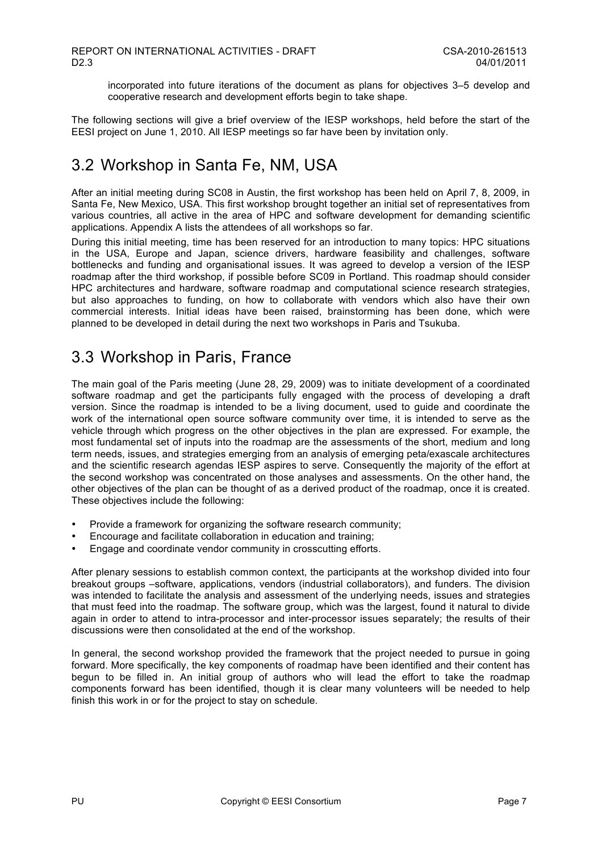incorporated into future iterations of the document as plans for objectives 3–5 develop and cooperative research and development efforts begin to take shape.

The following sections will give a brief overview of the IESP workshops, held before the start of the EESI project on June 1, 2010. All IESP meetings so far have been by invitation only.

# 3.2 Workshop in Santa Fe, NM, USA

After an initial meeting during SC08 in Austin, the first workshop has been held on April 7, 8, 2009, in Santa Fe, New Mexico, USA. This first workshop brought together an initial set of representatives from various countries, all active in the area of HPC and software development for demanding scientific applications. Appendix A lists the attendees of all workshops so far.

During this initial meeting, time has been reserved for an introduction to many topics: HPC situations in the USA, Europe and Japan, science drivers, hardware feasibility and challenges, software bottlenecks and funding and organisational issues. It was agreed to develop a version of the IESP roadmap after the third workshop, if possible before SC09 in Portland. This roadmap should consider HPC architectures and hardware, software roadmap and computational science research strategies, but also approaches to funding, on how to collaborate with vendors which also have their own commercial interests. Initial ideas have been raised, brainstorming has been done, which were planned to be developed in detail during the next two workshops in Paris and Tsukuba.

## 3.3 Workshop in Paris, France

The main goal of the Paris meeting (June 28, 29, 2009) was to initiate development of a coordinated software roadmap and get the participants fully engaged with the process of developing a draft version. Since the roadmap is intended to be a living document, used to guide and coordinate the work of the international open source software community over time, it is intended to serve as the vehicle through which progress on the other objectives in the plan are expressed. For example, the most fundamental set of inputs into the roadmap are the assessments of the short, medium and long term needs, issues, and strategies emerging from an analysis of emerging peta/exascale architectures and the scientific research agendas IESP aspires to serve. Consequently the majority of the effort at the second workshop was concentrated on those analyses and assessments. On the other hand, the other objectives of the plan can be thought of as a derived product of the roadmap, once it is created. These objectives include the following:

- Provide a framework for organizing the software research community;
- Encourage and facilitate collaboration in education and training;
- Engage and coordinate vendor community in crosscutting efforts.

After plenary sessions to establish common context, the participants at the workshop divided into four breakout groups –software, applications, vendors (industrial collaborators), and funders. The division was intended to facilitate the analysis and assessment of the underlying needs, issues and strategies that must feed into the roadmap. The software group, which was the largest, found it natural to divide again in order to attend to intra-processor and inter-processor issues separately; the results of their discussions were then consolidated at the end of the workshop.

In general, the second workshop provided the framework that the project needed to pursue in going forward. More specifically, the key components of roadmap have been identified and their content has begun to be filled in. An initial group of authors who will lead the effort to take the roadmap components forward has been identified, though it is clear many volunteers will be needed to help finish this work in or for the project to stay on schedule.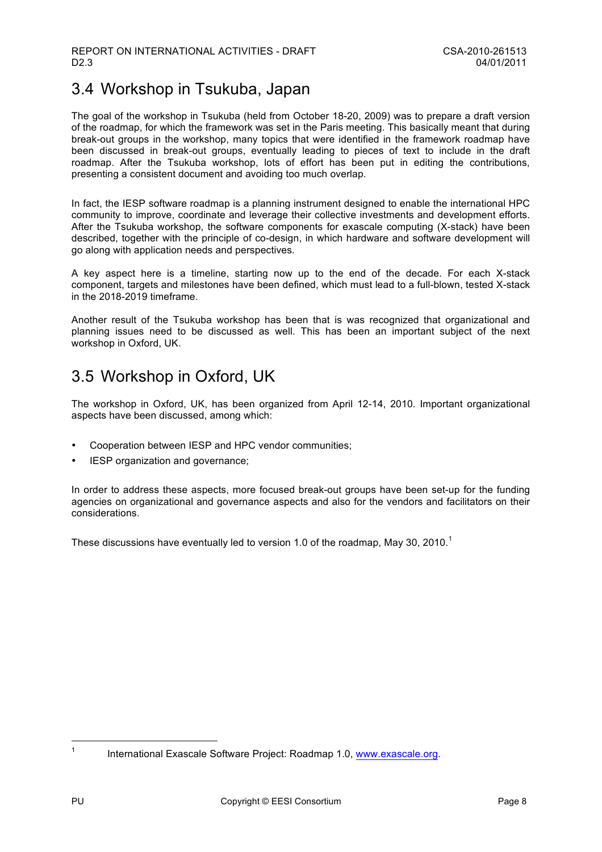# 3.4 Workshop in Tsukuba, Japan

The goal of the workshop in Tsukuba (held from October 18-20, 2009) was to prepare a draft version of the roadmap, for which the framework was set in the Paris meeting. This basically meant that during break-out groups in the workshop, many topics that were identified in the framework roadmap have been discussed in break-out groups, eventually leading to pieces of text to include in the draft roadmap. After the Tsukuba workshop, lots of effort has been put in editing the contributions, presenting a consistent document and avoiding too much overlap.

In fact, the IESP software roadmap is a planning instrument designed to enable the international HPC community to improve, coordinate and leverage their collective investments and development efforts. After the Tsukuba workshop, the software components for exascale computing (X-stack) have been described, together with the principle of co-design, in which hardware and software development will go along with application needs and perspectives.

A key aspect here is a timeline, starting now up to the end of the decade. For each X-stack component, targets and milestones have been defined, which must lead to a full-blown, tested X-stack in the 2018-2019 timeframe.

Another result of the Tsukuba workshop has been that is was recognized that organizational and planning issues need to be discussed as well. This has been an important subject of the next workshop in Oxford, UK.

# 3.5 Workshop in Oxford, UK

The workshop in Oxford, UK, has been organized from April 12-14, 2010. Important organizational aspects have been discussed, among which:

- Cooperation between IESP and HPC vendor communities;
- IESP organization and governance;

In order to address these aspects, more focused break-out groups have been set-up for the funding agencies on organizational and governance aspects and also for the vendors and facilitators on their considerations.

These discussions have eventually led to version 1.0 of the roadmap, May 30, 2010.<sup>1</sup>

<sup>&</sup>lt;sup>1</sup> International Exascale Software Project: Roadmap 1.0, www.exascale.org.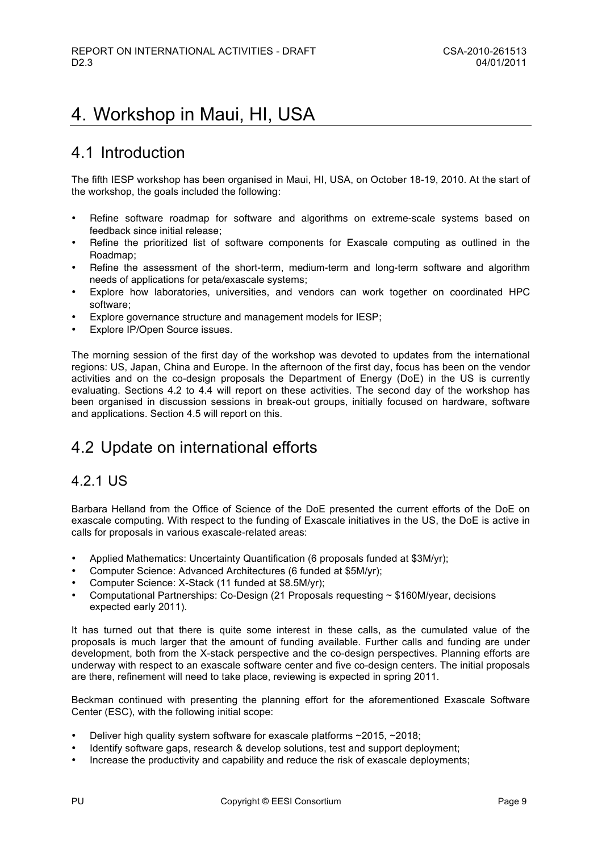# 4. Workshop in Maui, HI, USA

## 4.1 Introduction

The fifth IESP workshop has been organised in Maui, HI, USA, on October 18-19, 2010. At the start of the workshop, the goals included the following:

- Refine software roadmap for software and algorithms on extreme-scale systems based on feedback since initial release;
- Refine the prioritized list of software components for Exascale computing as outlined in the Roadmap;
- Refine the assessment of the short-term, medium-term and long-term software and algorithm needs of applications for peta/exascale systems;
- Explore how laboratories, universities, and vendors can work together on coordinated HPC software;
- Explore governance structure and management models for IESP;
- Explore IP/Open Source issues.

The morning session of the first day of the workshop was devoted to updates from the international regions: US, Japan, China and Europe. In the afternoon of the first day, focus has been on the vendor activities and on the co-design proposals the Department of Energy (DoE) in the US is currently evaluating. Sections 4.2 to 4.4 will report on these activities. The second day of the workshop has been organised in discussion sessions in break-out groups, initially focused on hardware, software and applications. Section 4.5 will report on this.

# 4.2 Update on international efforts

### 4.2.1 US

Barbara Helland from the Office of Science of the DoE presented the current efforts of the DoE on exascale computing. With respect to the funding of Exascale initiatives in the US, the DoE is active in calls for proposals in various exascale-related areas:

- Applied Mathematics: Uncertainty Quantification (6 proposals funded at \$3M/yr);
- Computer Science: Advanced Architectures (6 funded at \$5M/yr);
- Computer Science: X-Stack (11 funded at \$8.5M/yr);
- Computational Partnerships: Co-Design (21 Proposals requesting ~ \$160M/year, decisions expected early 2011).

It has turned out that there is quite some interest in these calls, as the cumulated value of the proposals is much larger that the amount of funding available. Further calls and funding are under development, both from the X-stack perspective and the co-design perspectives. Planning efforts are underway with respect to an exascale software center and five co-design centers. The initial proposals are there, refinement will need to take place, reviewing is expected in spring 2011.

Beckman continued with presenting the planning effort for the aforementioned Exascale Software Center (ESC), with the following initial scope:

- Deliver high quality system software for exascale platforms ~2015, ~2018;
- Identify software gaps, research & develop solutions, test and support deployment;
- Increase the productivity and capability and reduce the risk of exascale deployments;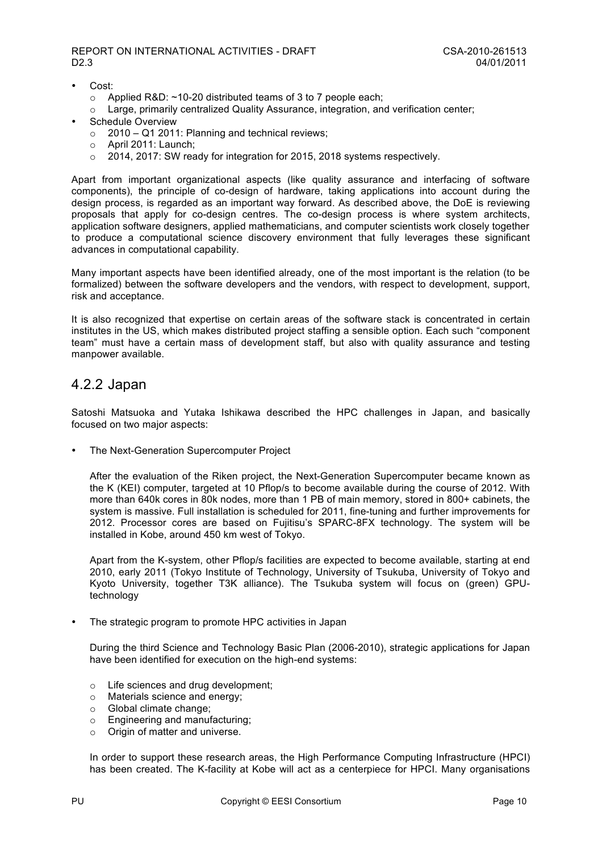- Cost:
	- o Applied R&D: ~10-20 distributed teams of 3 to 7 people each;
	- $\circ$  Large, primarily centralized Quality Assurance, integration, and verification center;
- Schedule Overview
	- $\circ$  2010 Q1 2011: Planning and technical reviews;
	- o April 2011: Launch;
	- o 2014, 2017: SW ready for integration for 2015, 2018 systems respectively.

Apart from important organizational aspects (like quality assurance and interfacing of software components), the principle of co-design of hardware, taking applications into account during the design process, is regarded as an important way forward. As described above, the DoE is reviewing proposals that apply for co-design centres. The co-design process is where system architects, application software designers, applied mathematicians, and computer scientists work closely together to produce a computational science discovery environment that fully leverages these significant advances in computational capability.

Many important aspects have been identified already, one of the most important is the relation (to be formalized) between the software developers and the vendors, with respect to development, support, risk and acceptance.

It is also recognized that expertise on certain areas of the software stack is concentrated in certain institutes in the US, which makes distributed project staffing a sensible option. Each such "component team" must have a certain mass of development staff, but also with quality assurance and testing manpower available.

#### 4.2.2 Japan

Satoshi Matsuoka and Yutaka Ishikawa described the HPC challenges in Japan, and basically focused on two major aspects:

• The Next-Generation Supercomputer Project

After the evaluation of the Riken project, the Next-Generation Supercomputer became known as the K (KEI) computer, targeted at 10 Pflop/s to become available during the course of 2012. With more than 640k cores in 80k nodes, more than 1 PB of main memory, stored in 800+ cabinets, the system is massive. Full installation is scheduled for 2011, fine-tuning and further improvements for 2012. Processor cores are based on Fujitisu's SPARC-8FX technology. The system will be installed in Kobe, around 450 km west of Tokyo.

Apart from the K-system, other Pflop/s facilities are expected to become available, starting at end 2010, early 2011 (Tokyo Institute of Technology, University of Tsukuba, University of Tokyo and Kyoto University, together T3K alliance). The Tsukuba system will focus on (green) GPUtechnology

The strategic program to promote HPC activities in Japan

During the third Science and Technology Basic Plan (2006-2010), strategic applications for Japan have been identified for execution on the high-end systems:

- o Life sciences and drug development;
- o Materials science and energy;
- o Global climate change;
- o Engineering and manufacturing;
- o Origin of matter and universe.

In order to support these research areas, the High Performance Computing Infrastructure (HPCI) has been created. The K-facility at Kobe will act as a centerpiece for HPCI. Many organisations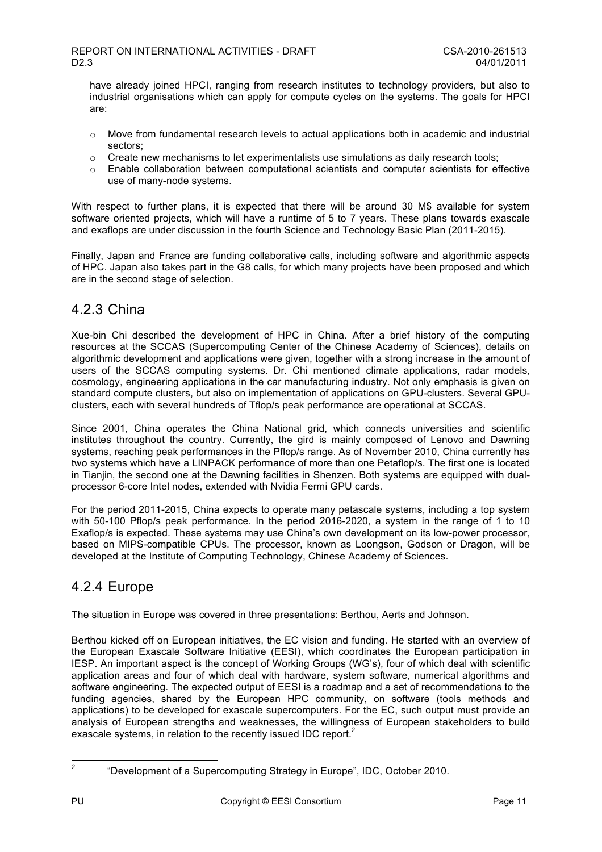have already joined HPCI, ranging from research institutes to technology providers, but also to industrial organisations which can apply for compute cycles on the systems. The goals for HPCI are:

- $\circ$  Move from fundamental research levels to actual applications both in academic and industrial sectors;
- $\circ$  Create new mechanisms to let experimentalists use simulations as daily research tools;
- o Enable collaboration between computational scientists and computer scientists for effective use of many-node systems.

With respect to further plans, it is expected that there will be around 30 M\$ available for system software oriented projects, which will have a runtime of 5 to 7 years. These plans towards exascale and exaflops are under discussion in the fourth Science and Technology Basic Plan (2011-2015).

Finally, Japan and France are funding collaborative calls, including software and algorithmic aspects of HPC. Japan also takes part in the G8 calls, for which many projects have been proposed and which are in the second stage of selection.

### 4.2.3 China

Xue-bin Chi described the development of HPC in China. After a brief history of the computing resources at the SCCAS (Supercomputing Center of the Chinese Academy of Sciences), details on algorithmic development and applications were given, together with a strong increase in the amount of users of the SCCAS computing systems. Dr. Chi mentioned climate applications, radar models, cosmology, engineering applications in the car manufacturing industry. Not only emphasis is given on standard compute clusters, but also on implementation of applications on GPU-clusters. Several GPUclusters, each with several hundreds of Tflop/s peak performance are operational at SCCAS.

Since 2001, China operates the China National grid, which connects universities and scientific institutes throughout the country. Currently, the gird is mainly composed of Lenovo and Dawning systems, reaching peak performances in the Pflop/s range. As of November 2010, China currently has two systems which have a LINPACK performance of more than one Petaflop/s. The first one is located in Tianjin, the second one at the Dawning facilities in Shenzen. Both systems are equipped with dualprocessor 6-core Intel nodes, extended with Nvidia Fermi GPU cards.

For the period 2011-2015, China expects to operate many petascale systems, including a top system with 50-100 Pflop/s peak performance. In the period 2016-2020, a system in the range of 1 to 10 Exaflop/s is expected. These systems may use China's own development on its low-power processor, based on MIPS-compatible CPUs. The processor, known as Loongson, Godson or Dragon, will be developed at the Institute of Computing Technology, Chinese Academy of Sciences.

### 4.2.4 Europe

The situation in Europe was covered in three presentations: Berthou, Aerts and Johnson.

Berthou kicked off on European initiatives, the EC vision and funding. He started with an overview of the European Exascale Software Initiative (EESI), which coordinates the European participation in IESP. An important aspect is the concept of Working Groups (WG's), four of which deal with scientific application areas and four of which deal with hardware, system software, numerical algorithms and software engineering. The expected output of EESI is a roadmap and a set of recommendations to the funding agencies, shared by the European HPC community, on software (tools methods and applications) to be developed for exascale supercomputers. For the EC, such output must provide an analysis of European strengths and weaknesses, the willingness of European stakeholders to build exascale systems, in relation to the recently issued IDC report.<sup>2</sup>

<sup>&</sup>lt;sup>2</sup> "Development of a Supercomputing Strategy in Europe", IDC, October 2010.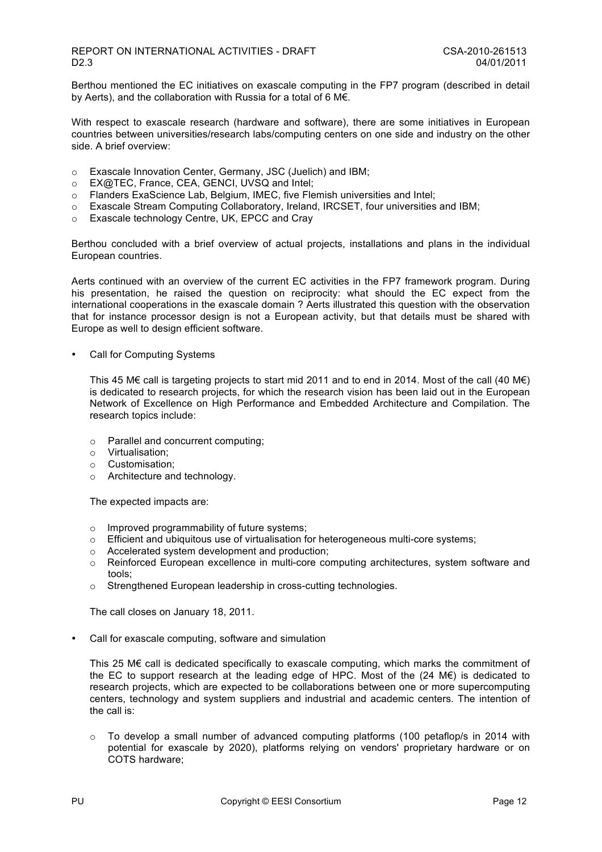Berthou mentioned the EC initiatives on exascale computing in the FP7 program (described in detail by Aerts), and the collaboration with Russia for a total of 6 M€.

With respect to exascale research (hardware and software), there are some initiatives in European countries between universities/research labs/computing centers on one side and industry on the other side. A brief overview:

- o Exascale Innovation Center, Germany, JSC (Juelich) and IBM;
- o EX@TEC, France, CEA, GENCI, UVSQ and Intel;
- o Flanders ExaScience Lab, Belgium, IMEC, five Flemish universities and Intel;
- $\circ$  Exascale Stream Computing Collaboratory, Ireland, IRCSET, four universities and IBM;
- o Exascale technology Centre, UK, EPCC and Cray

Berthou concluded with a brief overview of actual projects, installations and plans in the individual European countries.

Aerts continued with an overview of the current EC activities in the FP7 framework program. During his presentation, he raised the question on reciprocity: what should the EC expect from the international cooperations in the exascale domain ? Aerts illustrated this question with the observation that for instance processor design is not a European activity, but that details must be shared with Europe as well to design efficient software.

Call for Computing Systems

This 45 M€ call is targeting projects to start mid 2011 and to end in 2014. Most of the call (40 M€) is dedicated to research projects, for which the research vision has been laid out in the European Network of Excellence on High Performance and Embedded Architecture and Compilation. The research topics include:

- o Parallel and concurrent computing;
- o Virtualisation;
- o Customisation;
- o Architecture and technology.

The expected impacts are:

- o Improved programmability of future systems;
- $\circ$  Efficient and ubiquitous use of virtualisation for heterogeneous multi-core systems:
- o Accelerated system development and production;
- o Reinforced European excellence in multi-core computing architectures, system software and tools;
- o Strengthened European leadership in cross-cutting technologies.

The call closes on January 18, 2011.

• Call for exascale computing, software and simulation

This 25 M€ call is dedicated specifically to exascale computing, which marks the commitment of the EC to support research at the leading edge of HPC. Most of the  $(24 \text{ M} \epsilon)$  is dedicated to research projects, which are expected to be collaborations between one or more supercomputing centers, technology and system suppliers and industrial and academic centers. The intention of the call is:

o To develop a small number of advanced computing platforms (100 petaflop/s in 2014 with potential for exascale by 2020), platforms relying on vendors' proprietary hardware or on COTS hardware;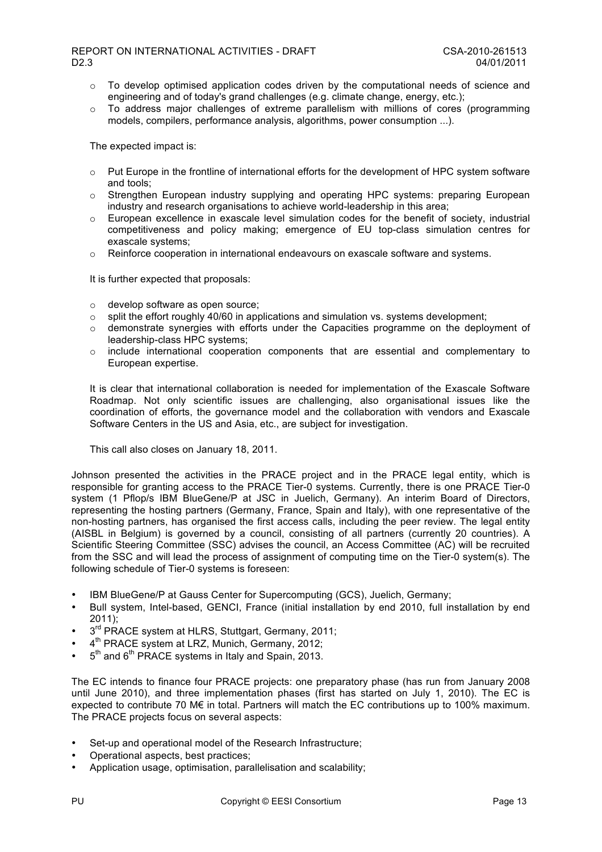#### REPORT ON INTERNATIONAL ACTIVITIES - DRAFT CSA-2010-261513 D2.3 04/01/2011

- $\circ$  To develop optimised application codes driven by the computational needs of science and engineering and of today's grand challenges (e.g. climate change, energy, etc.);
- $\circ$  To address major challenges of extreme parallelism with millions of cores (programming models, compilers, performance analysis, algorithms, power consumption ...).

The expected impact is:

- o Put Europe in the frontline of international efforts for the development of HPC system software and tools;
- o Strengthen European industry supplying and operating HPC systems: preparing European industry and research organisations to achieve world-leadership in this area;
- $\circ$  European excellence in exascale level simulation codes for the benefit of society, industrial competitiveness and policy making; emergence of EU top-class simulation centres for exascale systems;
- $\circ$  Reinforce cooperation in international endeavours on exascale software and systems.

It is further expected that proposals:

- o develop software as open source;
- $\circ$  split the effort roughly 40/60 in applications and simulation vs. systems development;
- o demonstrate synergies with efforts under the Capacities programme on the deployment of leadership-class HPC systems;
- $\circ$  include international cooperation components that are essential and complementary to European expertise.

It is clear that international collaboration is needed for implementation of the Exascale Software Roadmap. Not only scientific issues are challenging, also organisational issues like the coordination of efforts, the governance model and the collaboration with vendors and Exascale Software Centers in the US and Asia, etc., are subject for investigation.

This call also closes on January 18, 2011.

Johnson presented the activities in the PRACE project and in the PRACE legal entity, which is responsible for granting access to the PRACE Tier-0 systems. Currently, there is one PRACE Tier-0 system (1 Pflop/s IBM BlueGene/P at JSC in Juelich, Germany). An interim Board of Directors, representing the hosting partners (Germany, France, Spain and Italy), with one representative of the non-hosting partners, has organised the first access calls, including the peer review. The legal entity (AISBL in Belgium) is governed by a council, consisting of all partners (currently 20 countries). A Scientific Steering Committee (SSC) advises the council, an Access Committee (AC) will be recruited from the SSC and will lead the process of assignment of computing time on the Tier-0 system(s). The following schedule of Tier-0 systems is foreseen:

- IBM BlueGene/P at Gauss Center for Supercomputing (GCS), Juelich, Germany;
- Bull system, Intel-based, GENCI, France (initial installation by end 2010, full installation by end 2011);
- $3<sup>rd</sup>$  PRACE system at HLRS, Stuttgart, Germany, 2011;
- 4<sup>th</sup> PRACE system at LRZ, Munich, Germany, 2012;
- $5<sup>th</sup>$  and  $6<sup>th</sup>$  PRACE systems in Italy and Spain, 2013.

The EC intends to finance four PRACE projects: one preparatory phase (has run from January 2008 until June 2010), and three implementation phases (first has started on July 1, 2010). The EC is expected to contribute 70 M€ in total. Partners will match the EC contributions up to 100% maximum. The PRACE projects focus on several aspects:

- Set-up and operational model of the Research Infrastructure;
- Operational aspects, best practices;
- Application usage, optimisation, parallelisation and scalability;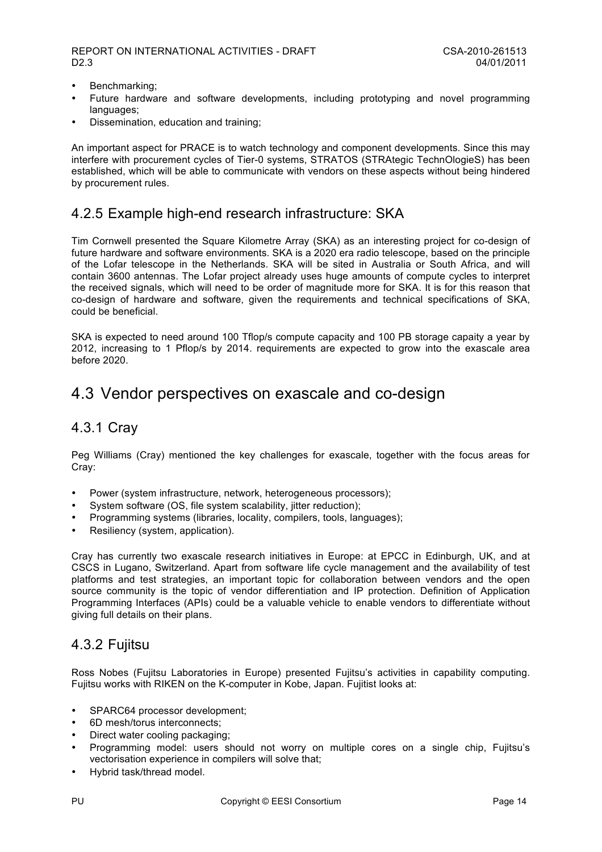- Benchmarking;
- Future hardware and software developments, including prototyping and novel programming languages:
- Dissemination, education and training;

An important aspect for PRACE is to watch technology and component developments. Since this may interfere with procurement cycles of Tier-0 systems, STRATOS (STRAtegic TechnOlogieS) has been established, which will be able to communicate with vendors on these aspects without being hindered by procurement rules.

### 4.2.5 Example high-end research infrastructure: SKA

Tim Cornwell presented the Square Kilometre Array (SKA) as an interesting project for co-design of future hardware and software environments. SKA is a 2020 era radio telescope, based on the principle of the Lofar telescope in the Netherlands. SKA will be sited in Australia or South Africa, and will contain 3600 antennas. The Lofar project already uses huge amounts of compute cycles to interpret the received signals, which will need to be order of magnitude more for SKA. It is for this reason that co-design of hardware and software, given the requirements and technical specifications of SKA, could be beneficial.

SKA is expected to need around 100 Tflop/s compute capacity and 100 PB storage capaity a year by 2012, increasing to 1 Pflop/s by 2014. requirements are expected to grow into the exascale area before 2020.

# 4.3 Vendor perspectives on exascale and co-design

### 4.3.1 Cray

Peg Williams (Cray) mentioned the key challenges for exascale, together with the focus areas for Cray:

- Power (system infrastructure, network, heterogeneous processors);
- System software (OS, file system scalability, jitter reduction);
- Programming systems (libraries, locality, compilers, tools, languages);
- Resiliency (system, application).

Cray has currently two exascale research initiatives in Europe: at EPCC in Edinburgh, UK, and at CSCS in Lugano, Switzerland. Apart from software life cycle management and the availability of test platforms and test strategies, an important topic for collaboration between vendors and the open source community is the topic of vendor differentiation and IP protection. Definition of Application Programming Interfaces (APIs) could be a valuable vehicle to enable vendors to differentiate without giving full details on their plans.

### 4.3.2 Fujitsu

Ross Nobes (Fujitsu Laboratories in Europe) presented Fujitsu's activities in capability computing. Fujitsu works with RIKEN on the K-computer in Kobe, Japan. Fujitist looks at:

- SPARC64 processor development:
- 6D mesh/torus interconnects;
- Direct water cooling packaging;
- Programming model: users should not worry on multiple cores on a single chip, Fujitsu's vectorisation experience in compilers will solve that;
- Hybrid task/thread model.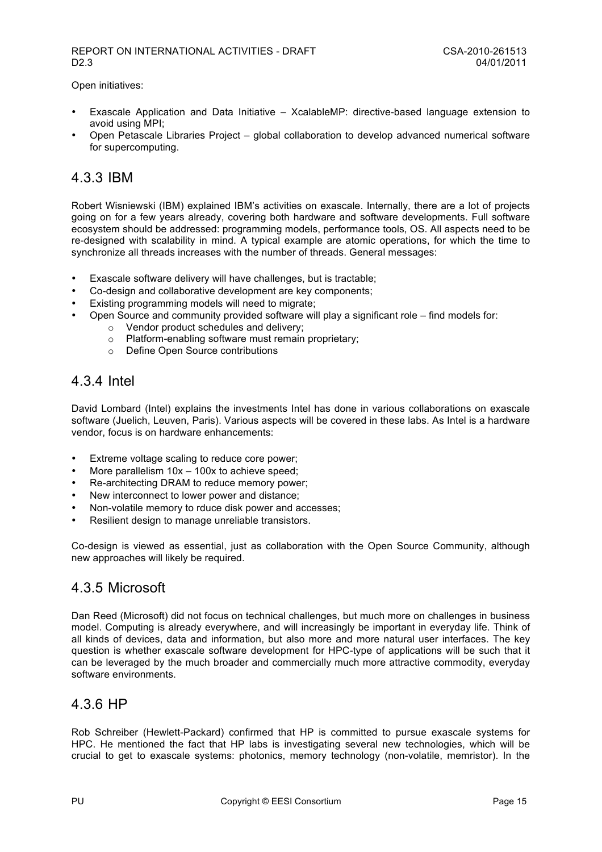Open initiatives:

- Exascale Application and Data Initiative XcalableMP: directive-based language extension to avoid using MPI;
- Open Petascale Libraries Project global collaboration to develop advanced numerical software for supercomputing.

### 4.3.3 IBM

Robert Wisniewski (IBM) explained IBM's activities on exascale. Internally, there are a lot of projects going on for a few years already, covering both hardware and software developments. Full software ecosystem should be addressed: programming models, performance tools, OS. All aspects need to be re-designed with scalability in mind. A typical example are atomic operations, for which the time to synchronize all threads increases with the number of threads. General messages:

- Exascale software delivery will have challenges, but is tractable;
- Co-design and collaborative development are key components;
- Existing programming models will need to migrate;
- Open Source and community provided software will play a significant role find models for:
	- o Vendor product schedules and delivery;
		- o Platform-enabling software must remain proprietary;
		- o Define Open Source contributions

### 4.3.4 Intel

David Lombard (Intel) explains the investments Intel has done in various collaborations on exascale software (Juelich, Leuven, Paris). Various aspects will be covered in these labs. As Intel is a hardware vendor, focus is on hardware enhancements:

- Extreme voltage scaling to reduce core power;
- More parallelism  $10x 100x$  to achieve speed;
- Re-architecting DRAM to reduce memory power;
- New interconnect to lower power and distance;
- Non-volatile memory to rduce disk power and accesses;
- Resilient design to manage unreliable transistors.

Co-design is viewed as essential, just as collaboration with the Open Source Community, although new approaches will likely be required.

### 4.3.5 Microsoft

Dan Reed (Microsoft) did not focus on technical challenges, but much more on challenges in business model. Computing is already everywhere, and will increasingly be important in everyday life. Think of all kinds of devices, data and information, but also more and more natural user interfaces. The key question is whether exascale software development for HPC-type of applications will be such that it can be leveraged by the much broader and commercially much more attractive commodity, everyday software environments.

### 4.3.6 HP

Rob Schreiber (Hewlett-Packard) confirmed that HP is committed to pursue exascale systems for HPC. He mentioned the fact that HP labs is investigating several new technologies, which will be crucial to get to exascale systems: photonics, memory technology (non-volatile, memristor). In the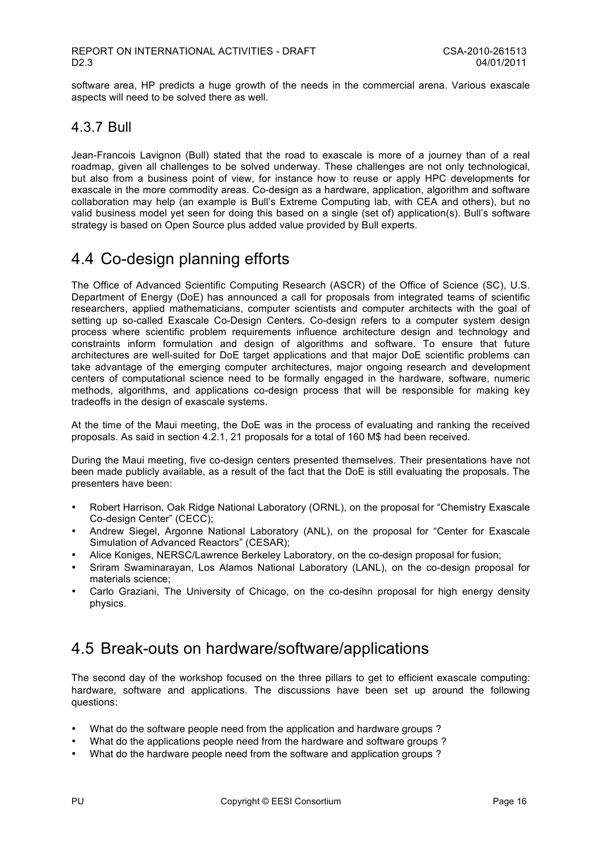software area, HP predicts a huge growth of the needs in the commercial arena. Various exascale aspects will need to be solved there as well.

### 4.3.7 Bull

Jean-Francois Lavignon (Bull) stated that the road to exascale is more of a journey than of a real roadmap, given all challenges to be solved underway. These challenges are not only technological, but also from a business point of view, for instance how to reuse or apply HPC developments for exascale in the more commodity areas. Co-design as a hardware, application, algorithm and software collaboration may help (an example is Bull's Extreme Computing lab, with CEA and others), but no valid business model yet seen for doing this based on a single (set of) application(s). Bull's software strategy is based on Open Source plus added value provided by Bull experts.

## 4.4 Co-design planning efforts

The Office of Advanced Scientific Computing Research (ASCR) of the Office of Science (SC), U.S. Department of Energy (DoE) has announced a call for proposals from integrated teams of scientific researchers, applied mathematicians, computer scientists and computer architects with the goal of setting up so-called Exascale Co-Design Centers. Co-design refers to a computer system design process where scientific problem requirements influence architecture design and technology and constraints inform formulation and design of algorithms and software. To ensure that future architectures are well-suited for DoE target applications and that major DoE scientific problems can take advantage of the emerging computer architectures, major ongoing research and development centers of computational science need to be formally engaged in the hardware, software, numeric methods, algorithms, and applications co-design process that will be responsible for making key tradeoffs in the design of exascale systems.

At the time of the Maui meeting, the DoE was in the process of evaluating and ranking the received proposals. As said in section 4.2.1, 21 proposals for a total of 160 M\$ had been received.

During the Maui meeting, five co-design centers presented themselves. Their presentations have not been made publicly available, as a result of the fact that the DoE is still evaluating the proposals. The presenters have been:

- Robert Harrison, Oak Ridge National Laboratory (ORNL), on the proposal for "Chemistry Exascale Co-design Center" (CECC);
- Andrew Siegel, Argonne National Laboratory (ANL), on the proposal for "Center for Exascale Simulation of Advanced Reactors" (CESAR);
- Alice Koniges, NERSC/Lawrence Berkeley Laboratory, on the co-design proposal for fusion;
- Sriram Swaminarayan, Los Alamos National Laboratory (LANL), on the co-design proposal for materials science;
- Carlo Graziani, The University of Chicago, on the co-desihn proposal for high energy density physics.

# 4.5 Break-outs on hardware/software/applications

The second day of the workshop focused on the three pillars to get to efficient exascale computing: hardware, software and applications. The discussions have been set up around the following questions:

- What do the software people need from the application and hardware groups ?
- What do the applications people need from the hardware and software groups ?
- What do the hardware people need from the software and application groups ?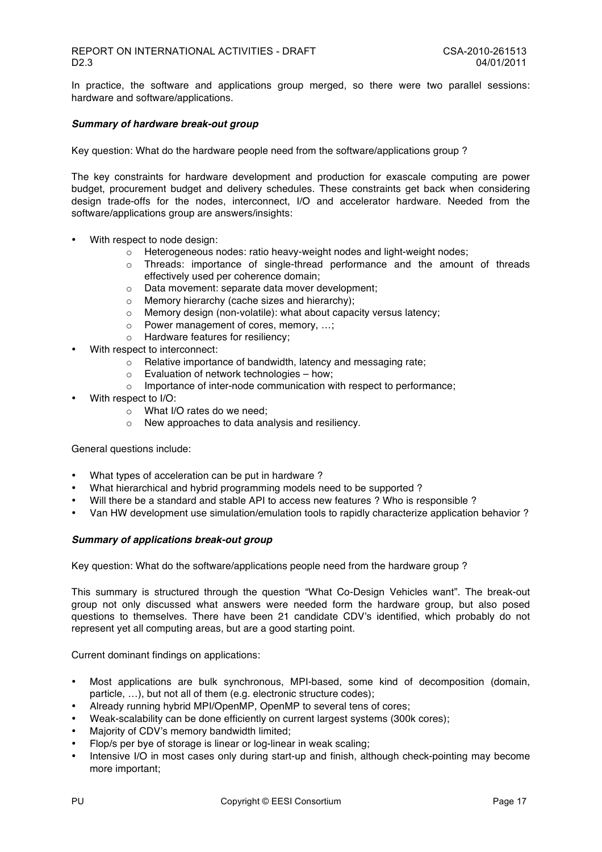In practice, the software and applications group merged, so there were two parallel sessions: hardware and software/applications.

#### *Summary of hardware break-out group*

Key question: What do the hardware people need from the software/applications group ?

The key constraints for hardware development and production for exascale computing are power budget, procurement budget and delivery schedules. These constraints get back when considering design trade-offs for the nodes, interconnect, I/O and accelerator hardware. Needed from the software/applications group are answers/insights:

- With respect to node design:
	- o Heterogeneous nodes: ratio heavy-weight nodes and light-weight nodes;
	- o Threads: importance of single-thread performance and the amount of threads effectively used per coherence domain;
	- o Data movement: separate data mover development;
	- o Memory hierarchy (cache sizes and hierarchy);
	- o Memory design (non-volatile): what about capacity versus latency;
	- o Power management of cores, memory, …;
	- o Hardware features for resiliency;
- With respect to interconnect:
	- o Relative importance of bandwidth, latency and messaging rate;
	- $\circ$  Evaluation of network technologies how:
	- o Importance of inter-node communication with respect to performance;
- With respect to I/O:
	- o What I/O rates do we need;
	- o New approaches to data analysis and resiliency.

General questions include:

- What types of acceleration can be put in hardware ?
- What hierarchical and hybrid programming models need to be supported ?
- Will there be a standard and stable API to access new features ? Who is responsible ?
- Van HW development use simulation/emulation tools to rapidly characterize application behavior ?

#### *Summary of applications break-out group*

Key question: What do the software/applications people need from the hardware group ?

This summary is structured through the question "What Co-Design Vehicles want". The break-out group not only discussed what answers were needed form the hardware group, but also posed questions to themselves. There have been 21 candidate CDV's identified, which probably do not represent yet all computing areas, but are a good starting point.

Current dominant findings on applications:

- Most applications are bulk synchronous, MPI-based, some kind of decomposition (domain, particle, …), but not all of them (e.g. electronic structure codes);
- Already running hybrid MPI/OpenMP, OpenMP to several tens of cores;
- Weak-scalability can be done efficiently on current largest systems (300k cores);
- Majority of CDV's memory bandwidth limited;
- Flop/s per bye of storage is linear or log-linear in weak scaling;
- Intensive I/O in most cases only during start-up and finish, although check-pointing may become more important;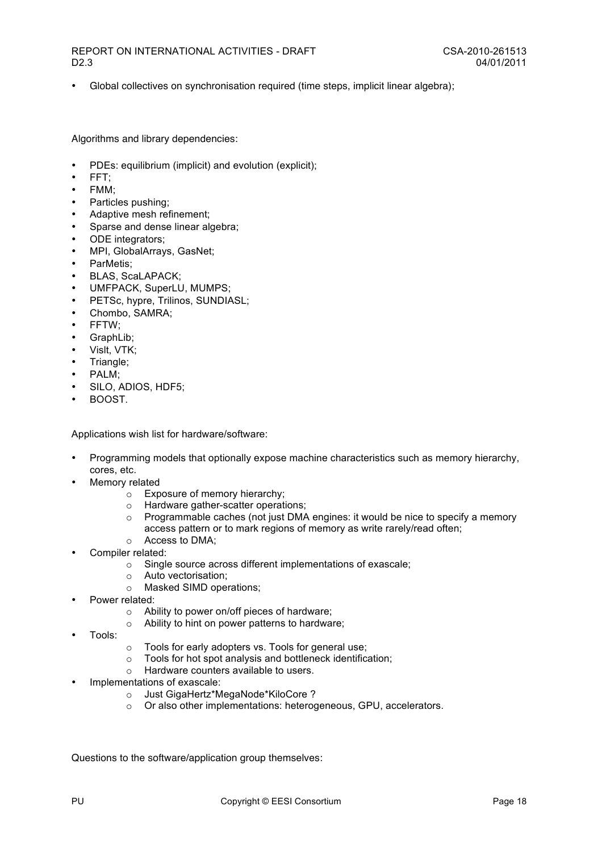• Global collectives on synchronisation required (time steps, implicit linear algebra);

Algorithms and library dependencies:

- PDEs: equilibrium (implicit) and evolution (explicit);
- FFT;
- FMM;
- Particles pushing;
- Adaptive mesh refinement;
- Sparse and dense linear algebra;
- ODE integrators:
- MPI, GlobalArrays, GasNet;
- ParMetis;
- BLAS, ScaLAPACK;
- UMFPACK, SuperLU, MUMPS;
- PETSc, hypre, Trilinos, SUNDIASL;
- Chombo, SAMRA;
- FFTW;
- GraphLib;
- Vislt, VTK;
- Triangle;
- PALM;
- SILO, ADIOS, HDF5;
- BOOST.

Applications wish list for hardware/software:

- Programming models that optionally expose machine characteristics such as memory hierarchy, cores, etc.
- Memory related
	- o Exposure of memory hierarchy;
	- Hardware gather-scatter operations;<br>○ Programmable caches (not iust DMA
	- Programmable caches (not just DMA engines: it would be nice to specify a memory access pattern or to mark regions of memory as write rarely/read often;
	- o Access to DMA;
- Compiler related:
	- o Single source across different implementations of exascale;
	- o Auto vectorisation;
	- o Masked SIMD operations;
- Power related:
	- o Ability to power on/off pieces of hardware;
	- o Ability to hint on power patterns to hardware;
- Tools:
- o Tools for early adopters vs. Tools for general use;
- o Tools for hot spot analysis and bottleneck identification;
- o Hardware counters available to users.
- Implementations of exascale:
	- o Just GigaHertz\*MegaNode\*KiloCore ?
	- o Or also other implementations: heterogeneous, GPU, accelerators.

Questions to the software/application group themselves: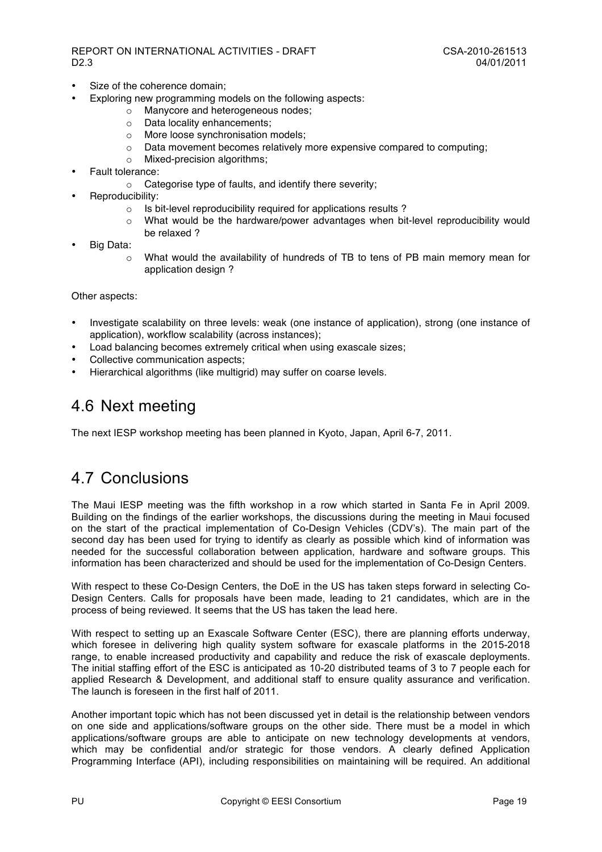- Size of the coherence domain:
	- Exploring new programming models on the following aspects:
		- o Manycore and heterogeneous nodes;
		- o Data locality enhancements;
		- o More loose synchronisation models;
		- o Data movement becomes relatively more expensive compared to computing;
		- Mixed-precision algorithms:
- Fault tolerance:
	- o Categorise type of faults, and identify there severity;
- Reproducibility:
	- o Is bit-level reproducibility required for applications results ?
		- o What would be the hardware/power advantages when bit-level reproducibility would be relaxed ?
- Big Data:
	- o What would the availability of hundreds of TB to tens of PB main memory mean for application design ?

Other aspects:

- Investigate scalability on three levels: weak (one instance of application), strong (one instance of application), workflow scalability (across instances);
- Load balancing becomes extremely critical when using exascale sizes;
- Collective communication aspects;
- Hierarchical algorithms (like multigrid) may suffer on coarse levels.

## 4.6 Next meeting

The next IESP workshop meeting has been planned in Kyoto, Japan, April 6-7, 2011.

## 4.7 Conclusions

The Maui IESP meeting was the fifth workshop in a row which started in Santa Fe in April 2009. Building on the findings of the earlier workshops, the discussions during the meeting in Maui focused on the start of the practical implementation of Co-Design Vehicles (CDV's). The main part of the second day has been used for trying to identify as clearly as possible which kind of information was needed for the successful collaboration between application, hardware and software groups. This information has been characterized and should be used for the implementation of Co-Design Centers.

With respect to these Co-Design Centers, the DoE in the US has taken steps forward in selecting Co-Design Centers. Calls for proposals have been made, leading to 21 candidates, which are in the process of being reviewed. It seems that the US has taken the lead here.

With respect to setting up an Exascale Software Center (ESC), there are planning efforts underway, which foresee in delivering high quality system software for exascale platforms in the 2015-2018 range, to enable increased productivity and capability and reduce the risk of exascale deployments. The initial staffing effort of the ESC is anticipated as 10-20 distributed teams of 3 to 7 people each for applied Research & Development, and additional staff to ensure quality assurance and verification. The launch is foreseen in the first half of 2011.

Another important topic which has not been discussed yet in detail is the relationship between vendors on one side and applications/software groups on the other side. There must be a model in which applications/software groups are able to anticipate on new technology developments at vendors, which may be confidential and/or strategic for those vendors. A clearly defined Application Programming Interface (API), including responsibilities on maintaining will be required. An additional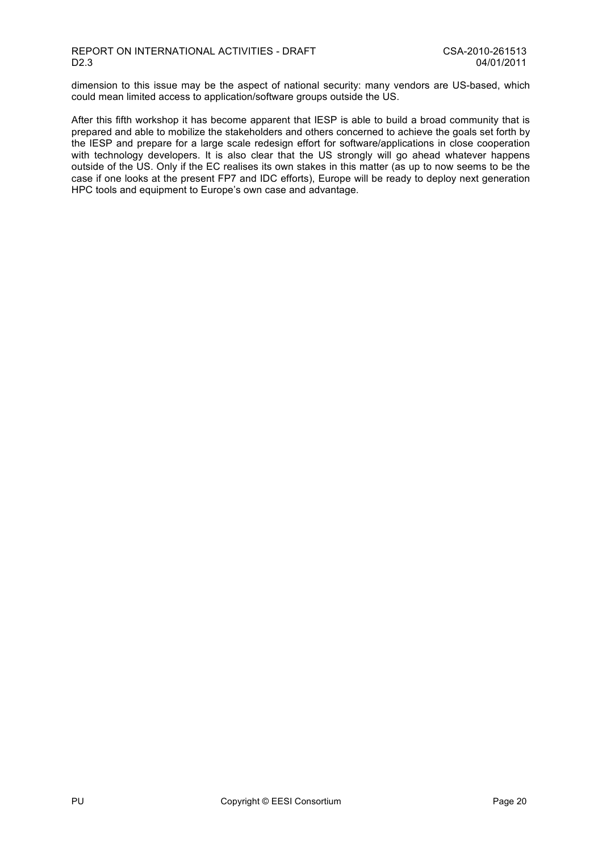dimension to this issue may be the aspect of national security: many vendors are US-based, which could mean limited access to application/software groups outside the US.

After this fifth workshop it has become apparent that IESP is able to build a broad community that is prepared and able to mobilize the stakeholders and others concerned to achieve the goals set forth by the IESP and prepare for a large scale redesign effort for software/applications in close cooperation with technology developers. It is also clear that the US strongly will go ahead whatever happens outside of the US. Only if the EC realises its own stakes in this matter (as up to now seems to be the case if one looks at the present FP7 and IDC efforts), Europe will be ready to deploy next generation HPC tools and equipment to Europe's own case and advantage.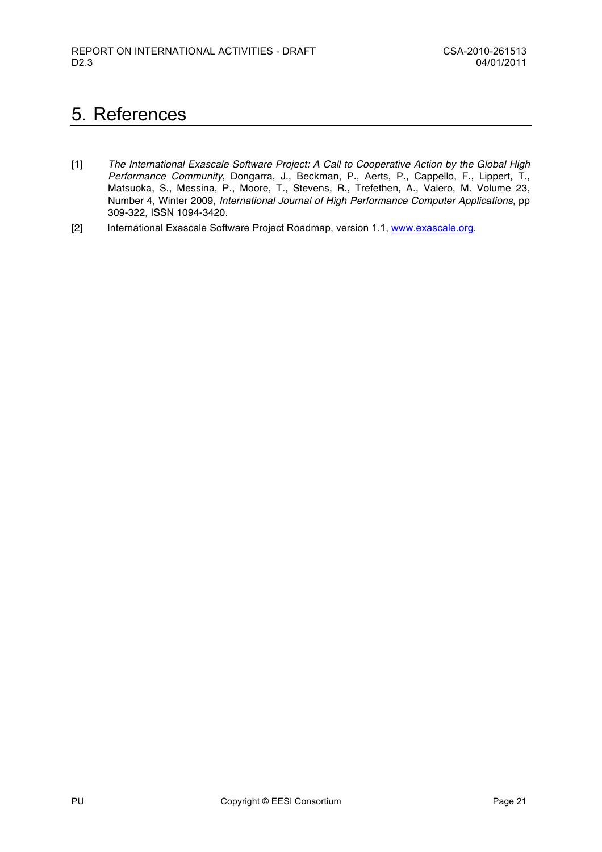# 5. References

- [1] *The International Exascale Software Project: A Call to Cooperative Action by the Global High Performance Community*, Dongarra, J., Beckman, P., Aerts, P., Cappello, F., Lippert, T., Matsuoka, S., Messina, P., Moore, T., Stevens, R., Trefethen, A., Valero, M. Volume 23, Number 4, Winter 2009, *International Journal of High Performance Computer Applications*, pp 309-322, ISSN 1094-3420.
- [2] International Exascale Software Project Roadmap, version 1.1, www.exascale.org.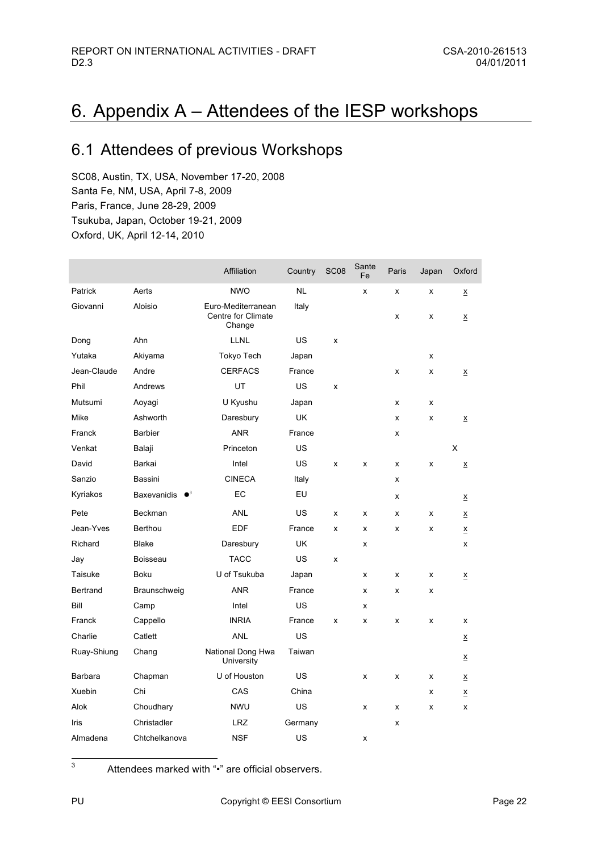# 6. Appendix A – Attendees of the IESP workshops

# 6.1 Attendees of previous Workshops

SC08, Austin, TX, USA, November 17-20, 2008 Santa Fe, NM, USA, April 7-8, 2009 Paris, France, June 28-29, 2009 Tsukuba, Japan, October 19-21, 2009 Oxford, UK, April 12-14, 2010

|                |                         | Affiliation                                        | Country   | SC <sub>08</sub> | Sante<br>Fe | Paris | Japan | Oxford                   |
|----------------|-------------------------|----------------------------------------------------|-----------|------------------|-------------|-------|-------|--------------------------|
| Patrick        | Aerts                   | <b>NWO</b>                                         | <b>NL</b> |                  | x           | x     | x     | X                        |
| Giovanni       | Aloisio                 | Euro-Mediterranean<br>Centre for Climate<br>Change | Italy     |                  |             | x     | x     | X                        |
| Dong           | Ahn                     | <b>LLNL</b>                                        | US        | x                |             |       |       |                          |
| Yutaka         | Akiyama                 | Tokyo Tech                                         | Japan     |                  |             |       | x     |                          |
| Jean-Claude    | Andre                   | <b>CERFACS</b>                                     | France    |                  |             | x     | x     | $\underline{\mathsf{X}}$ |
| Phil           | Andrews                 | UT                                                 | US        | x                |             |       |       |                          |
| Mutsumi        | Aoyagi                  | U Kyushu                                           | Japan     |                  |             | x     | x     |                          |
| Mike           | Ashworth                | Daresbury                                          | UK        |                  |             | x     | x     | $\underline{x}$          |
| Franck         | <b>Barbier</b>          | <b>ANR</b>                                         | France    |                  |             | x     |       |                          |
| Venkat         | Balaji                  | Princeton                                          | US        |                  |             |       |       | X                        |
| David          | Barkai                  | Intel                                              | US        | x                | x           | x     | x     | $\underline{\mathsf{X}}$ |
| Sanzio         | Bassini                 | <b>CINECA</b>                                      | Italy     |                  |             | x     |       |                          |
| Kyriakos       | Baxevanidis $\bullet^3$ | EC                                                 | EU        |                  |             | x     |       | <u>х</u>                 |
| Pete           | Beckman                 | <b>ANL</b>                                         | US        | X                | x           | x     | x     | $\underline{\mathsf{x}}$ |
| Jean-Yves      | Berthou                 | <b>EDF</b>                                         | France    | x                | x           | x     | x     | <u>х</u>                 |
| Richard        | <b>Blake</b>            | Daresbury                                          | <b>UK</b> |                  | X           |       |       | x                        |
| Jay            | Boisseau                | <b>TACC</b>                                        | US        | x                |             |       |       |                          |
| Taisuke        | <b>Boku</b>             | U of Tsukuba                                       | Japan     |                  | x           | x     | x     | $\underline{\mathsf{x}}$ |
| Bertrand       | Braunschweig            | ANR                                                | France    |                  | x           | x     | x     |                          |
| Bill           | Camp                    | Intel                                              | US        |                  | x           |       |       |                          |
| Franck         | Cappello                | <b>INRIA</b>                                       | France    | x                | x           | x     | x     | x                        |
| Charlie        | Catlett                 | <b>ANL</b>                                         | US        |                  |             |       |       | $\underline{x}$          |
| Ruay-Shiung    | Chang                   | National Dong Hwa<br>University                    | Taiwan    |                  |             |       |       | <u>х</u>                 |
| <b>Barbara</b> | Chapman                 | U of Houston                                       | US        |                  | x           | x     | x     | $\underline{x}$          |
| Xuebin         | Chi                     | CAS                                                | China     |                  |             |       | x     | $\underline{\mathsf{x}}$ |
| Alok           | Choudhary               | <b>NWU</b>                                         | US        |                  | x           | x     | x     | x                        |
| Iris           | Christadler             | <b>LRZ</b>                                         | Germany   |                  |             | x     |       |                          |
| Almadena       | Chtchelkanova           | <b>NSF</b>                                         | US        |                  | x           |       |       |                          |

3 Attendees marked with "•" are official observers.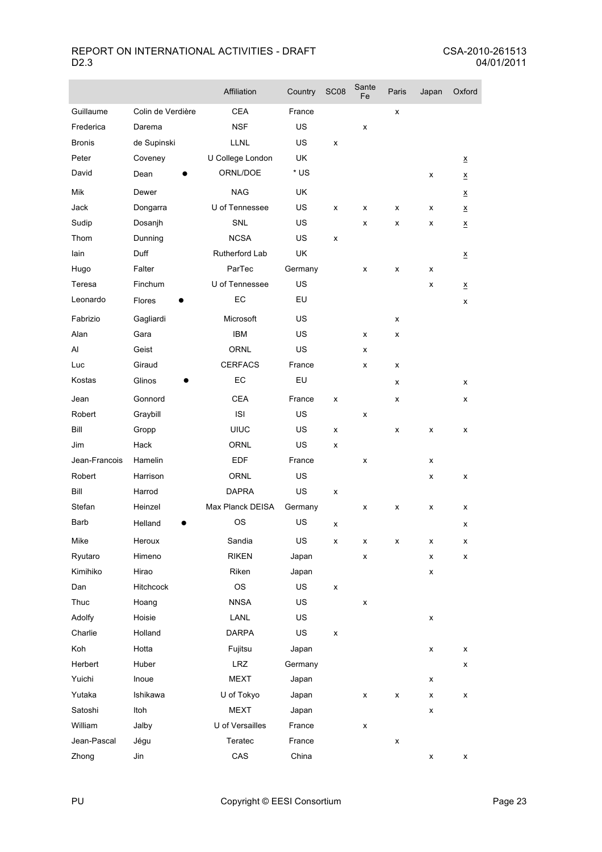|               |                   | Affiliation      | Country   | SC <sub>08</sub>   | Sante<br>Fe | Paris | Japan | Oxford                   |
|---------------|-------------------|------------------|-----------|--------------------|-------------|-------|-------|--------------------------|
| Guillaume     | Colin de Verdière | <b>CEA</b>       | France    |                    |             | x     |       |                          |
| Frederica     | Darema            | <b>NSF</b>       | US        |                    | x           |       |       |                          |
| <b>Bronis</b> | de Supinski       | <b>LLNL</b>      | US        | x                  |             |       |       |                          |
| Peter         | Coveney           | U College London | UK        |                    |             |       |       | $\underline{x}$          |
| David         | Dean              | ORNL/DOE         | * US      |                    |             |       | x     | $\underline{x}$          |
| Mik           | Dewer             | <b>NAG</b>       | <b>UK</b> |                    |             |       |       | $\underline{x}$          |
| Jack          | Dongarra          | U of Tennessee   | US        | x                  | x           | х     | х     | $\underline{\mathsf{x}}$ |
| Sudip         | Dosanjh           | <b>SNL</b>       | US        |                    | x           | x     | x     | $\underline{\mathsf{x}}$ |
| Thom          | Dunning           | <b>NCSA</b>      | US        | x                  |             |       |       |                          |
| lain          | Duff              | Rutherford Lab   | UK        |                    |             |       |       | $\underline{x}$          |
| Hugo          | Falter            | ParTec           | Germany   |                    | x           | x     | x     |                          |
| Teresa        | Finchum           | U of Tennessee   | US        |                    |             |       | x     | $\underline{x}$          |
| Leonardo      | Flores            | EC               | EU        |                    |             |       |       | x                        |
| Fabrizio      | Gagliardi         | Microsoft        | US        |                    |             | x     |       |                          |
| Alan          | Gara              | <b>IBM</b>       | US        |                    | x           | x     |       |                          |
| Al            | Geist             | <b>ORNL</b>      | US        |                    | x           |       |       |                          |
| Luc           | Giraud            | <b>CERFACS</b>   | France    |                    | x           | x     |       |                          |
| Kostas        | Glinos            | EC               | EU        |                    |             | x     |       | х                        |
| Jean          | Gonnord           | <b>CEA</b>       | France    | x                  |             | x     |       | x                        |
| Robert        | Graybill          | <b>ISI</b>       | US        |                    | x           |       |       |                          |
| Bill          | Gropp             | <b>UIUC</b>      | US        | x                  |             | x     | x     | x                        |
| Jim           | Hack              | <b>ORNL</b>      | US        | x                  |             |       |       |                          |
| Jean-Francois | Hamelin           | EDF              | France    |                    | x           |       | x     |                          |
| Robert        | Harrison          | <b>ORNL</b>      | US        |                    |             |       | x     | х                        |
| Bill          | Harrod            | DAPRA            | US        | x                  |             |       |       |                          |
| Stefan        | Heinzel           | Max Planck DEISA | Germany   |                    | x           | x     | x     | x                        |
| Barb          | Helland           | <b>OS</b>        | US        | x                  |             |       |       | x                        |
| Mike          | Heroux            | Sandia           | US        | $\pmb{\mathsf{x}}$ | x           | x     | x     | х                        |
| Ryutaro       | Himeno            | <b>RIKEN</b>     | Japan     |                    | x           |       | x     | x                        |
| Kimihiko      | Hirao             | Riken            | Japan     |                    |             |       | x     |                          |
| Dan           | Hitchcock         | OS               | US        | x                  |             |       |       |                          |
| Thuc          | Hoang             | <b>NNSA</b>      | US        |                    | x           |       |       |                          |
| Adolfy        | Hoisie            | LANL             | US        |                    |             |       | x     |                          |
| Charlie       | Holland           | <b>DARPA</b>     | US        | x                  |             |       |       |                          |
| Koh           | Hotta             | Fujitsu          | Japan     |                    |             |       | x     | x                        |
| Herbert       | Huber             | <b>LRZ</b>       | Germany   |                    |             |       |       | x                        |
| Yuichi        | Inoue             | <b>MEXT</b>      | Japan     |                    |             |       | x     |                          |
| Yutaka        | Ishikawa          | U of Tokyo       | Japan     |                    | x           | x     | x     | x                        |
| Satoshi       | Itoh              | <b>MEXT</b>      | Japan     |                    |             |       | x     |                          |
| William       | Jalby             | U of Versailles  | France    |                    | x           |       |       |                          |
| Jean-Pascal   | Jégu              | Teratec          | France    |                    |             | x     |       |                          |
| Zhong         | Jin               | CAS              | China     |                    |             |       | x     | х                        |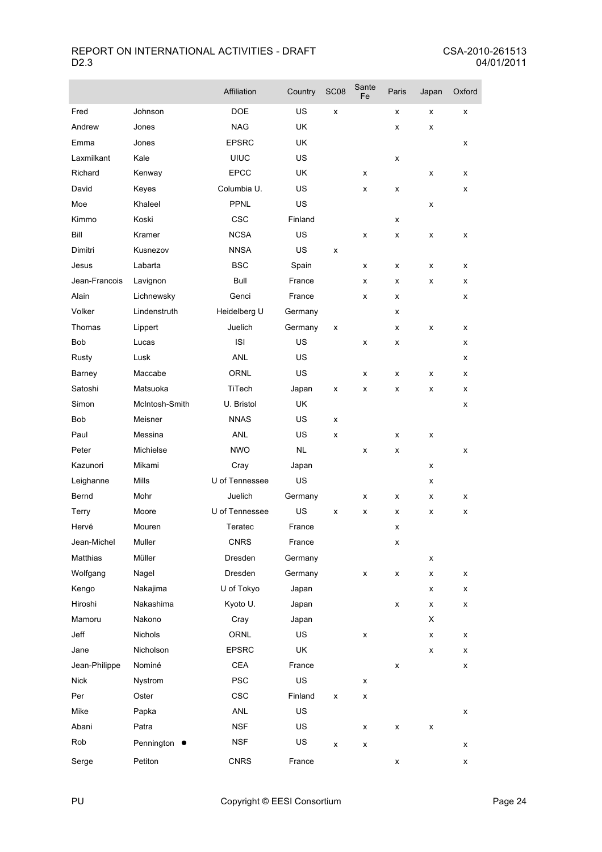|               |                | Affiliation    | Country   | <b>SC08</b> | Sante<br>Fe | Paris              | Japan | Oxford |
|---------------|----------------|----------------|-----------|-------------|-------------|--------------------|-------|--------|
| Fred          | Johnson        | <b>DOE</b>     | US        | x           |             | x                  | x     | x      |
| Andrew        | Jones          | <b>NAG</b>     | <b>UK</b> |             |             | x                  | x     |        |
| Emma          | Jones          | <b>EPSRC</b>   | <b>UK</b> |             |             |                    |       | x      |
| Laxmilkant    | Kale           | <b>UIUC</b>    | <b>US</b> |             |             | x                  |       |        |
| Richard       | Kenway         | <b>EPCC</b>    | UK        |             | x           |                    | x     | x      |
| David         | Keyes          | Columbia U.    | <b>US</b> |             | x           | x                  |       | x      |
| Moe           | Khaleel        | PPNL           | <b>US</b> |             |             |                    | x     |        |
| Kimmo         | Koski          | CSC            | Finland   |             |             | x                  |       |        |
| Bill          | Kramer         | <b>NCSA</b>    | <b>US</b> |             | x           | x                  | x     | x      |
| Dimitri       | Kusnezov       | <b>NNSA</b>    | <b>US</b> | x           |             |                    |       |        |
| Jesus         | Labarta        | <b>BSC</b>     | Spain     |             | x           | x                  | x     | x      |
| Jean-Francois | Lavignon       | Bull           | France    |             | x           | x                  | х     | х      |
| Alain         | Lichnewsky     | Genci          | France    |             | x           | x                  |       | x      |
| Volker        | Lindenstruth   | Heidelberg U   | Germany   |             |             | x                  |       |        |
| Thomas        | Lippert        | Juelich        | Germany   | x           |             | x                  | x     | x      |
| <b>Bob</b>    | Lucas          | <b>ISI</b>     | US        |             | x           | x                  |       | x      |
| Rusty         | Lusk           | <b>ANL</b>     | US        |             |             |                    |       | х      |
| Barney        | Maccabe        | <b>ORNL</b>    | <b>US</b> |             | x           | x                  | x     | х      |
| Satoshi       | Matsuoka       | TiTech         | Japan     | x           | x           | x                  | х     | х      |
| Simon         | McIntosh-Smith | U. Bristol     | UK.       |             |             |                    |       | х      |
| Bob           | Meisner        | <b>NNAS</b>    | <b>US</b> | x           |             |                    |       |        |
| Paul          | Messina        | ANL            | US        | x           |             | x                  | x     |        |
| Peter         | Michielse      | <b>NWO</b>     | <b>NL</b> |             | x           | x                  |       | X      |
| Kazunori      | Mikami         | Cray           | Japan     |             |             |                    | x     |        |
| Leighanne     | Mills          | U of Tennessee | <b>US</b> |             |             |                    | х     |        |
| Bernd         | Mohr           | Juelich        | Germany   |             | x           | х                  | х     | х      |
| Terry         | Moore          | U of Tennessee | US        | x           | x           | x                  | x     | x      |
| Hervé         | Mouren         | Teratec        | France    |             |             | x                  |       |        |
| Jean-Michel   | Muller         | <b>CNRS</b>    | France    |             |             | x                  |       |        |
| Matthias      | Müller         | Dresden        | Germany   |             |             |                    | x     |        |
| Wolfgang      | Nagel          | Dresden        | Germany   |             | x           | x                  | x     | x      |
| Kengo         | Nakajima       | U of Tokyo     | Japan     |             |             |                    | х     | x      |
| Hiroshi       | Nakashima      | Kyoto U.       | Japan     |             |             | $\pmb{\mathsf{x}}$ | x     | х      |
| Mamoru        | Nakono         | Cray           | Japan     |             |             |                    | X     |        |
| Jeff          | Nichols        | ORNL           | US        |             | x           |                    | x     | х      |
| Jane          | Nicholson      | <b>EPSRC</b>   | UK        |             |             |                    | x     | x      |
| Jean-Philippe | Nominé         | <b>CEA</b>     | France    |             |             | x                  |       | x      |
| <b>Nick</b>   | Nystrom        | <b>PSC</b>     | US        |             | x           |                    |       |        |
| Per           | Oster          | CSC            | Finland   | x           | x           |                    |       |        |
| Mike          | Papka          | ANL            | US        |             |             |                    |       | x      |
| Abani         | Patra          | <b>NSF</b>     | US        |             | x           | x                  | X     |        |
| Rob           | Pennington •   | <b>NSF</b>     | US        | x           | X           |                    |       | x      |
| Serge         | Petiton        | <b>CNRS</b>    | France    |             |             | x                  |       | x      |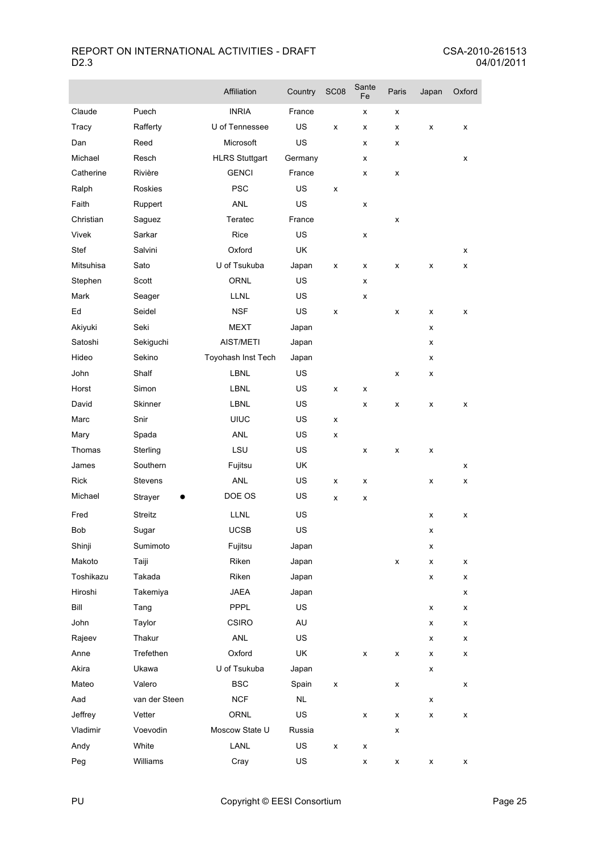|              |                | Affiliation           | Country   | SC <sub>08</sub> | Sante<br>Fe        | Paris              | Japan | Oxford |
|--------------|----------------|-----------------------|-----------|------------------|--------------------|--------------------|-------|--------|
| Claude       | Puech          | <b>INRIA</b>          | France    |                  | x                  | x                  |       |        |
| <b>Tracy</b> | Rafferty       | U of Tennessee        | US        | X                | x                  | x                  | x     | x      |
| Dan          | Reed           | Microsoft             | <b>US</b> |                  | x                  | x                  |       |        |
| Michael      | Resch          | <b>HLRS Stuttgart</b> | Germany   |                  | х                  |                    |       | х      |
| Catherine    | Rivière        | <b>GENCI</b>          | France    |                  | x                  | х                  |       |        |
| Ralph        | Roskies        | <b>PSC</b>            | US        | x                |                    |                    |       |        |
| Faith        | Ruppert        | ANL                   | US        |                  | x                  |                    |       |        |
| Christian    | Saguez         | Teratec               | France    |                  |                    | x                  |       |        |
| Vivek        | Sarkar         | Rice                  | US        |                  | x                  |                    |       |        |
| Stef         | Salvini        | Oxford                | UK        |                  |                    |                    |       | x      |
| Mitsuhisa    | Sato           | U of Tsukuba          | Japan     | x                | x                  | x                  | x     | x      |
| Stephen      | Scott          | <b>ORNL</b>           | <b>US</b> |                  | x                  |                    |       |        |
| Mark         | Seager         | <b>LLNL</b>           | US        |                  | x                  |                    |       |        |
| Ed           | Seidel         | <b>NSF</b>            | US        | x                |                    | x                  | x     | x      |
| Akiyuki      | Seki           | <b>MEXT</b>           | Japan     |                  |                    |                    | x     |        |
| Satoshi      | Sekiguchi      | AIST/METI             | Japan     |                  |                    |                    | x     |        |
| Hideo        | Sekino         | Toyohash Inst Tech    | Japan     |                  |                    |                    | x     |        |
| John         | Shalf          | <b>LBNL</b>           | US        |                  |                    | x                  | x     |        |
| Horst        | Simon          | <b>LBNL</b>           | US        | x                | x                  |                    |       |        |
| David        | Skinner        | <b>LBNL</b>           | <b>US</b> |                  | x                  | x                  | x     | х      |
| Marc         | Snir           | <b>UIUC</b>           | US        | x                |                    |                    |       |        |
| Mary         | Spada          | <b>ANL</b>            | US        | x                |                    |                    |       |        |
| Thomas       | Sterling       | LSU                   | <b>US</b> |                  | x                  | x                  | x     |        |
| James        | Southern       | Fujitsu               | UK        |                  |                    |                    |       | х      |
| Rick         | Stevens        | <b>ANL</b>            | <b>US</b> | х                | x                  |                    | x     | x      |
| Michael      | Strayer<br>e   | DOE OS                | <b>US</b> | x                | x                  |                    |       |        |
| Fred         | <b>Streitz</b> | <b>LLNL</b>           | US        |                  |                    |                    | x     | x      |
| Bob          | Sugar          | <b>UCSB</b>           | US        |                  |                    |                    | x     |        |
| Shinji       | Sumimoto       | Fujitsu               | Japan     |                  |                    |                    | x     |        |
| Makoto       | Taiji          | Riken                 | Japan     |                  |                    | $\pmb{\mathsf{x}}$ | x     | x      |
| Toshikazu    | Takada         | Riken                 | Japan     |                  |                    |                    | x     | x      |
| Hiroshi      | Takemiya       | <b>JAEA</b>           | Japan     |                  |                    |                    |       | x      |
| Bill         | Tang           | PPPL                  | US        |                  |                    |                    | x     | x      |
| John         | Taylor         | CSIRO                 | AU        |                  |                    |                    | x     | x      |
| Rajeev       | Thakur         | ANL                   | US        |                  |                    |                    | x     | x      |
| Anne         | Trefethen      | Oxford                | UK        |                  | x                  | x                  | x     | x      |
| Akira        | Ukawa          | U of Tsukuba          | Japan     |                  |                    |                    | x     |        |
| Mateo        | Valero         | <b>BSC</b>            | Spain     | x                |                    | x                  |       | x      |
| Aad          | van der Steen  | <b>NCF</b>            | NL        |                  |                    |                    | x     |        |
| Jeffrey      | Vetter         | ORNL                  | US        |                  | x                  | х                  | x     | x      |
| Vladimir     | Voevodin       | Moscow State U        | Russia    |                  |                    | x                  |       |        |
| Andy         | White          | LANL                  | US        | x                | $\pmb{\mathsf{x}}$ |                    |       |        |
| Peg          | Williams       | Cray                  | US        |                  | x                  | $\pmb{\mathsf{x}}$ | x     | x      |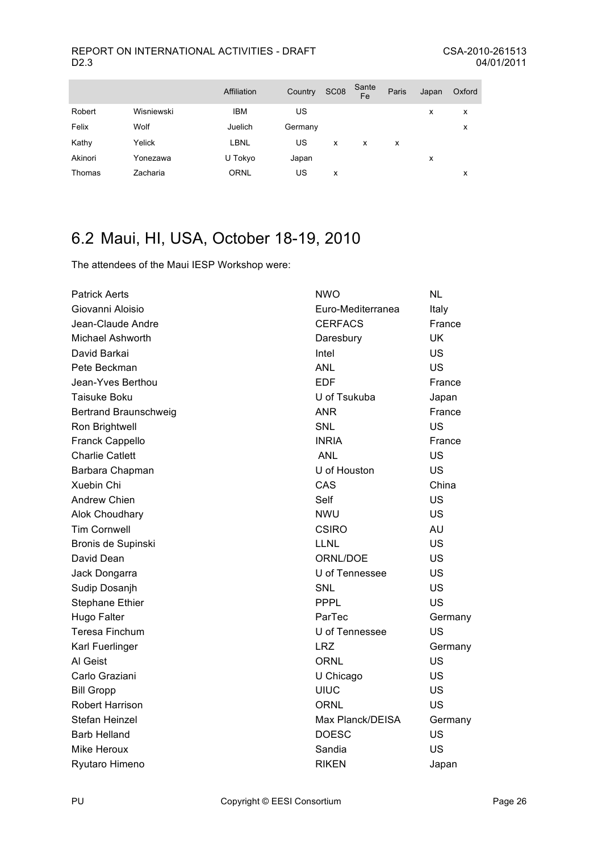|         |            | Affiliation | Country | <b>SC08</b> | Sante<br>Fe | Paris | Japan | Oxford |
|---------|------------|-------------|---------|-------------|-------------|-------|-------|--------|
| Robert  | Wisniewski | <b>IBM</b>  | US      |             |             |       | x     | x      |
| Felix   | Wolf       | Juelich     | Germany |             |             |       |       | x      |
| Kathy   | Yelick     | LBNL        | US      | x           | x           | x     |       |        |
| Akinori | Yonezawa   | U Tokyo     | Japan   |             |             |       | x     |        |
| Thomas  | Zacharia   | <b>ORNL</b> | US      | x           |             |       |       | x      |

# 6.2 Maui, HI, USA, October 18-19, 2010

The attendees of the Maui IESP Workshop were:

| <b>Patrick Aerts</b>         | <b>NWO</b>        | <b>NL</b> |
|------------------------------|-------------------|-----------|
| Giovanni Aloisio             | Euro-Mediterranea | Italy     |
| Jean-Claude Andre            | <b>CERFACS</b>    | France    |
| <b>Michael Ashworth</b>      | Daresbury         | <b>UK</b> |
| David Barkai                 | Intel             | US        |
| Pete Beckman                 | <b>ANL</b>        | US        |
| Jean-Yves Berthou            | <b>EDF</b>        | France    |
| <b>Taisuke Boku</b>          | U of Tsukuba      | Japan     |
| <b>Bertrand Braunschweig</b> | <b>ANR</b>        | France    |
| Ron Brightwell               | <b>SNL</b>        | US        |
| Franck Cappello              | <b>INRIA</b>      | France    |
| <b>Charlie Catlett</b>       | <b>ANL</b>        | US        |
| Barbara Chapman              | U of Houston      | US        |
| <b>Xuebin Chi</b>            | CAS               | China     |
| <b>Andrew Chien</b>          | Self              | US        |
| Alok Choudhary               | <b>NWU</b>        | US        |
| <b>Tim Cornwell</b>          | <b>CSIRO</b>      | <b>AU</b> |
| Bronis de Supinski           | <b>LLNL</b>       | US        |
| David Dean                   | ORNL/DOE          | US        |
| Jack Dongarra                | U of Tennessee    | US        |
| Sudip Dosanjh                | <b>SNL</b>        | US        |
| <b>Stephane Ethier</b>       | <b>PPPL</b>       | US        |
| Hugo Falter                  | ParTec            | Germany   |
| <b>Teresa Finchum</b>        | U of Tennessee    | US        |
| Karl Fuerlinger              | <b>LRZ</b>        | Germany   |
| Al Geist                     | ORNL              | US        |
| Carlo Graziani               | U Chicago         | US        |
| <b>Bill Gropp</b>            | <b>UIUC</b>       | US        |
| <b>Robert Harrison</b>       | ORNL              | US        |
| Stefan Heinzel               | Max Planck/DEISA  | Germany   |
| <b>Barb Helland</b>          | <b>DOESC</b>      | US        |
| Mike Heroux                  | Sandia            | <b>US</b> |
| Ryutaro Himeno               | <b>RIKEN</b>      | Japan     |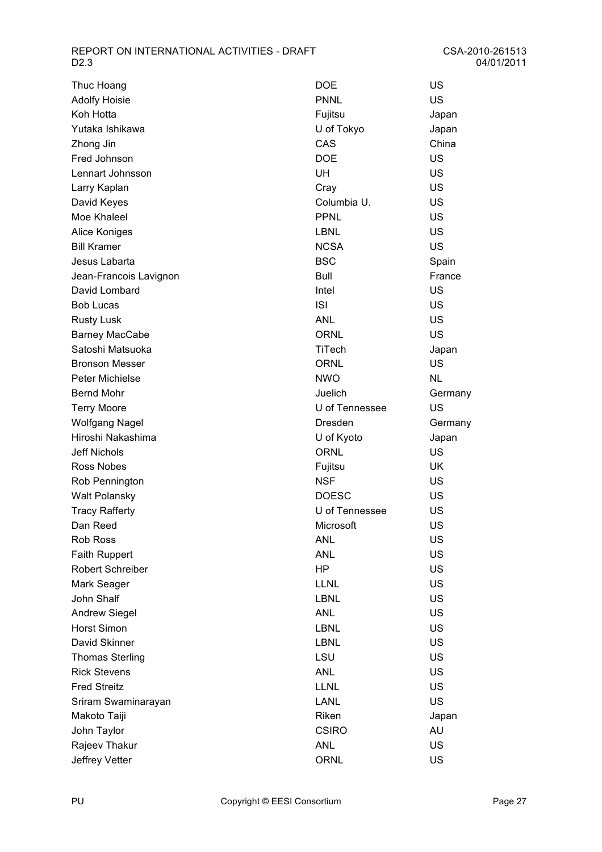| Thuc Hoang             | <b>DOE</b>     | US        |
|------------------------|----------------|-----------|
| <b>Adolfy Hoisie</b>   | <b>PNNL</b>    | US        |
| Koh Hotta              | Fujitsu        | Japan     |
| Yutaka Ishikawa        | U of Tokyo     | Japan     |
| Zhong Jin              | CAS            | China     |
| Fred Johnson           | <b>DOE</b>     | US        |
| Lennart Johnsson       | UH             | <b>US</b> |
| Larry Kaplan           | Cray           | US        |
| David Keyes            | Columbia U.    | US        |
| Moe Khaleel            | <b>PPNL</b>    | US        |
| <b>Alice Koniges</b>   | <b>LBNL</b>    | US        |
| <b>Bill Kramer</b>     | <b>NCSA</b>    | US        |
| Jesus Labarta          | <b>BSC</b>     | Spain     |
| Jean-Francois Lavignon | Bull           | France    |
| David Lombard          | Intel          | US        |
| <b>Bob Lucas</b>       | <b>ISI</b>     | US        |
| <b>Rusty Lusk</b>      | <b>ANL</b>     | US        |
| <b>Barney MacCabe</b>  | <b>ORNL</b>    | US        |
| Satoshi Matsuoka       | TiTech         | Japan     |
| <b>Bronson Messer</b>  | <b>ORNL</b>    | US        |
| <b>Peter Michielse</b> | <b>NWO</b>     | NL        |
| <b>Bernd Mohr</b>      | Juelich        | Germany   |
| <b>Terry Moore</b>     | U of Tennessee | US        |
| <b>Wolfgang Nagel</b>  | Dresden        | Germany   |
| Hiroshi Nakashima      | U of Kyoto     | Japan     |
| <b>Jeff Nichols</b>    | <b>ORNL</b>    | <b>US</b> |
| Ross Nobes             | Fujitsu        | <b>UK</b> |
| Rob Pennington         | <b>NSF</b>     | US        |
| <b>Walt Polansky</b>   | <b>DOESC</b>   | <b>US</b> |
| <b>Tracy Rafferty</b>  | U of Tennessee | US        |
| Dan Reed               | Microsoft      | US        |
| <b>Rob Ross</b>        | <b>ANL</b>     | US        |
| <b>Faith Ruppert</b>   | <b>ANL</b>     | US        |
| Robert Schreiber       | HP             | US        |
| Mark Seager            | LLNL           | US        |
| John Shalf             | <b>LBNL</b>    | US        |
| <b>Andrew Siegel</b>   | ANL            | US        |
| <b>Horst Simon</b>     | <b>LBNL</b>    | US        |
| David Skinner          | <b>LBNL</b>    | US        |
| <b>Thomas Sterling</b> | LSU            | US        |
| <b>Rick Stevens</b>    | <b>ANL</b>     | US        |
| <b>Fred Streitz</b>    | <b>LLNL</b>    | US        |
| Sriram Swaminarayan    | <b>LANL</b>    | US        |
| Makoto Taiji           | Riken          | Japan     |
| John Taylor            | <b>CSIRO</b>   | AU        |
| Rajeev Thakur          | <b>ANL</b>     | US        |
| Jeffrey Vetter         | <b>ORNL</b>    | US        |

| DOE            | US     |
|----------------|--------|
| <b>PNNL</b>    | US     |
| Fujitsu        | Japan  |
| U of Tokyo     | Japan  |
| CAS            | China  |
| DOE            | US     |
| UH             | US     |
| Cray           | US     |
| Columbia U.    | US     |
| <b>PPNL</b>    | US     |
| LBNL           | US     |
| <b>NCSA</b>    | US     |
| BSC            | Spain  |
| Bull           | France |
| Intel          | US     |
| <b>ISI</b>     | US     |
| ANL            | US     |
| ORNL           | US     |
| <b>TiTech</b>  | Japan  |
| ORNL           | US     |
| <b>NWO</b>     | NL     |
| Juelich        | German |
| U of Tennessee | US     |
| Dresden        | German |
| U of Kyoto     | Japan  |
| ORNL           | US     |
| Fujitsu        | UK     |
| <b>NSF</b>     | US     |
| <b>DOESC</b>   | US     |
| U of Tennessee | US     |
| Microsoft      | US     |
| ANL            | US     |
| ANL            | US     |
| ΗP             | US     |
| LLNL           | US     |
| LBNL           | US     |
| ANL            | US     |
| LBNL           | US     |
| LBNL           | US     |
| LSU            | US     |
| ANL            | US     |
| LLNL           | US     |
| LANL           | US     |
| Riken          | Japan  |
| <b>CSIRO</b>   | AU     |
| ANL            | US     |
| ORNL           | US     |